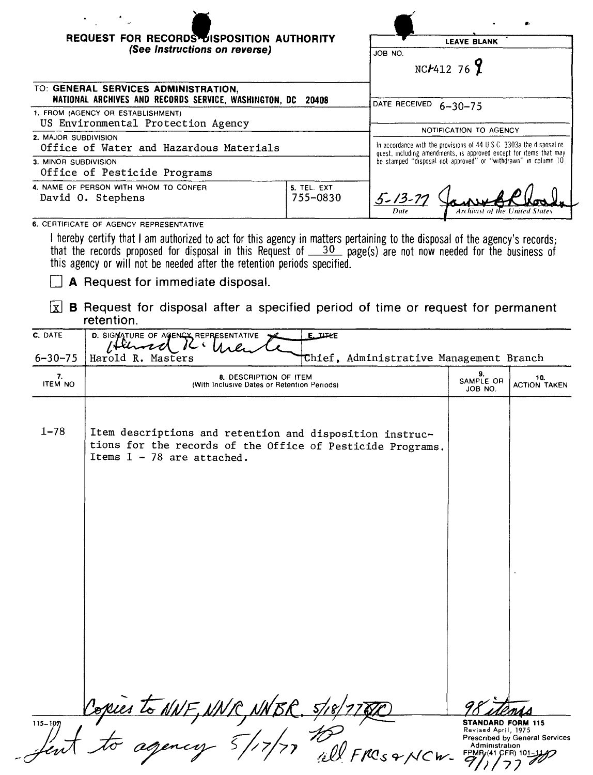| REQUEST FOR RECORDS DISPOSITION AUTHORITY<br>(See Instructions on reverse)                    |                         | <b>LEAVE BLANK</b><br>JOB NO.<br>NCF41276                                                                                                   |  |
|-----------------------------------------------------------------------------------------------|-------------------------|---------------------------------------------------------------------------------------------------------------------------------------------|--|
| TO: GENERAL SERVICES ADMINISTRATION,<br>NATIONAL ARCHIVES AND RECORDS SERVICE, WASHINGTON, DC | 20408                   | DATE RECEIVED<br>$6 - 30 - 75$                                                                                                              |  |
| 1. FROM (AGENCY OR ESTABLISHMENT)<br>US Environmental Protection Agency                       |                         | NOTIFICATION TO AGENCY                                                                                                                      |  |
| 2. MAJOR SUBDIVISION<br>Office of Water and Hazardous Materials                               |                         | In accordance with the provisions of 44 U S.C. 3303a the disposal re-<br>quest, including amendments, is approved except for items that may |  |
| 3. MINOR SUBDIVISION<br>Office of Pesticide Programs                                          |                         | be stamped "disposal not approved" or "withdrawn" in column 10                                                                              |  |
| 4. NAME OF PERSON WITH WHOM TO CONFER<br>David O. Stephens                                    | 5. TEL. EXT<br>755-0830 | $5 - 13 - 77$<br>Date<br>Archivist of the United States                                                                                     |  |
| 6. CERTIFICATE OF AGENCY REPRESENTATIVE                                                       |                         |                                                                                                                                             |  |

I hereby certify that I am authorized to act for this agency in matters pertaining to the disposal of the agency's records; that the records proposed for disposal in this Request of <u>30 page(s) are not now needed for the business</u> of this agency or will not be needed after the retention periods specified.

**A** Request for immediate disposal.

 $\boxed{\mathbf{x}}$  **B** Request for disposal after a specified period of time or request for permanent retention.

| C. DATE<br>$6 - 30 - 75$ | $E_\text{JHKE}$<br>D. SIGNATURE OF AGENCY REPRESENTATIVE<br>74<br>Chief, Administrative Management Branch<br>Harold R. Masters                         |                                                                                                         |                                |
|--------------------------|--------------------------------------------------------------------------------------------------------------------------------------------------------|---------------------------------------------------------------------------------------------------------|--------------------------------|
| 7.<br><b>ITEM NO</b>     | 8. DESCRIPTION OF ITEM<br>(With Inclusive Dates or Retention Periods)                                                                                  | 9.<br>SAMPLE OR<br>JOB NO.                                                                              | 10.<br><b>ACTION TAKEN</b>     |
| $1 - 78$                 | Item descriptions and retention and disposition instruc-<br>tions for the records of the Office of Pesticide Programs.<br>Items $1 - 78$ are attached. |                                                                                                         |                                |
|                          |                                                                                                                                                        |                                                                                                         |                                |
|                          |                                                                                                                                                        |                                                                                                         |                                |
| $115 - 107$              | Copies to NNF, NNR, NNBR. 5/17/77<br>$s$ & NCW-                                                                                                        | <b>STANDARD FORM 115</b><br>Revised April, 1975<br>Administration<br><b>FPMR<sub>f</sub>(41 CFR) 10</b> | Prescribed by General Services |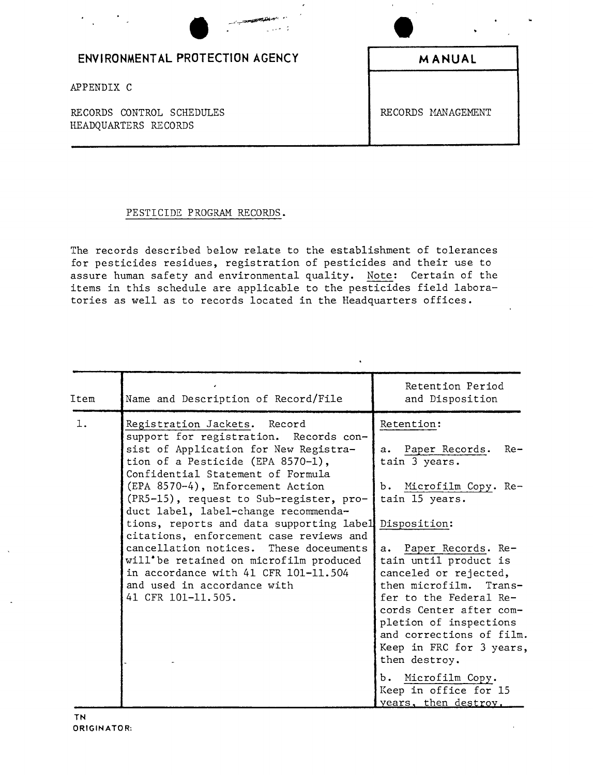| $\label{eq:4} \begin{split} \mathcal{L}_{\text{max}}(\mathcal{L}_{\text{max}}) = \mathcal{L}_{\text{max}}(\mathcal{L}_{\text{max}}) + \mathcal{L}_{\text{max}}(\mathcal{L}_{\text{max}}) + \mathcal{L}_{\text{max}}(\mathcal{L}_{\text{max}}) + \mathcal{L}_{\text{max}}(\mathcal{L}_{\text{max}}) + \mathcal{L}_{\text{max}}(\mathcal{L}_{\text{max}}) + \mathcal{L}_{\text{max}}(\mathcal{L}_{\text{max}}) \end{split}$<br>$\cdot$ |                    |
|--------------------------------------------------------------------------------------------------------------------------------------------------------------------------------------------------------------------------------------------------------------------------------------------------------------------------------------------------------------------------------------------------------------------------------------|--------------------|
| ENVIRONMENTAL PROTECTION AGENCY                                                                                                                                                                                                                                                                                                                                                                                                      | <b>MANUAL</b>      |
| APPENDIX C                                                                                                                                                                                                                                                                                                                                                                                                                           |                    |
| RECORDS CONTROL SCHEDULES<br>HEADQUARTERS RECORDS                                                                                                                                                                                                                                                                                                                                                                                    | RECORDS MANAGEMENT |

## PESTICIDE PROGRAM RECORDS.

The records described below relate to the establishment of tolerances for pesticides residues, registration of pesticides and their use to assure human safety and environmental quality. Note: Certain of the items in this schedule are applicable to the pesticides field laboratories as well as to records located in the Headquarters offices.

| Item | Name and Description of Record/File                                                                                                                                                                                                                                                                                                                                                                                                                                                                                                                                                                   | Retention Period<br>and Disposition                                                                                                                                                                                                                                                                                                                                                                                                       |
|------|-------------------------------------------------------------------------------------------------------------------------------------------------------------------------------------------------------------------------------------------------------------------------------------------------------------------------------------------------------------------------------------------------------------------------------------------------------------------------------------------------------------------------------------------------------------------------------------------------------|-------------------------------------------------------------------------------------------------------------------------------------------------------------------------------------------------------------------------------------------------------------------------------------------------------------------------------------------------------------------------------------------------------------------------------------------|
| 1.   | Registration Jackets. Record<br>support for registration. Records con-<br>sist of Application for New Registra-<br>tion of a Pesticide (EPA 8570-1),<br>Confidential Statement of Formula<br>(EPA 8570-4), Enforcement Action<br>(PR5-15), request to Sub-register, pro-<br>duct label, label-change recommenda-<br>tions, reports and data supporting label Disposition:<br>citations, enforcement case reviews and<br>cancellation notices. These doceuments<br>will'be retained on microfilm produced<br>in accordance with 41 CFR 101-11.504<br>and used in accordance with<br>41 CFR 101-11.505. | Retention:<br>a. Paper Records. Re-<br>tain 3 years.<br>b. Microfilm Copy. Re-<br>tain 15 years.<br>a. Paper Records. Re-<br>tain until product is<br>canceled or rejected,<br>then microfilm.<br>$Trans-$<br>fer to the Federal Re-<br>cords Center after com-<br>pletion of inspections<br>and corrections of film.<br>Keep in FRC for 3 years,<br>then destroy.<br>b. Microfilm Copy.<br>Keep in office for 15<br>years, then destroy. |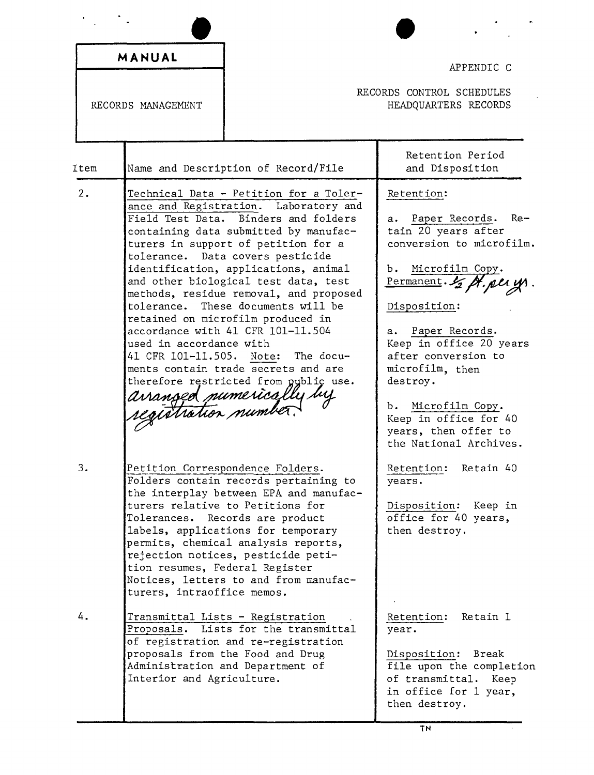|      | MANUAL                                                       |                                                                                                                                                                                                                                                                                                                                                                                                                                                                                                                                                                                                              | APPENDIC C                                                                                                                                                                                                                                                                                                                                                        |
|------|--------------------------------------------------------------|--------------------------------------------------------------------------------------------------------------------------------------------------------------------------------------------------------------------------------------------------------------------------------------------------------------------------------------------------------------------------------------------------------------------------------------------------------------------------------------------------------------------------------------------------------------------------------------------------------------|-------------------------------------------------------------------------------------------------------------------------------------------------------------------------------------------------------------------------------------------------------------------------------------------------------------------------------------------------------------------|
|      | RECORDS CONTROL SCHEDULES<br>RECORDS MANAGEMENT              |                                                                                                                                                                                                                                                                                                                                                                                                                                                                                                                                                                                                              | HEADQUARTERS RECORDS                                                                                                                                                                                                                                                                                                                                              |
| Item |                                                              | Name and Description of Record/File                                                                                                                                                                                                                                                                                                                                                                                                                                                                                                                                                                          | Retention Period<br>and Disposition                                                                                                                                                                                                                                                                                                                               |
| 2.   | used in accordance with<br>41 CFR 101-11.505. Note:          | Technical Data - Petition for a Toler-<br>ance and Registration. Laboratory and<br>Field Test Data. Binders and folders<br>containing data submitted by manufac-<br>turers in support of petition for a<br>tolerance. Data covers pesticide<br>identification, applications, animal<br>and other biological test data, test<br>methods, residue removal, and proposed<br>tolerance. These documents will be<br>retained on microfilm produced in<br>accordance with 41 CFR 101-11.504<br>The docu-<br>ments contain trade secrets and are<br>therefore restricted from public use.<br>avanged numerically by | Retention:<br>a. Paper Records. Re-<br>tain 20 years after<br>conversion to microfilm.<br>b. Microfilm Copy.<br>Permanent. La St. per y<br>Disposition:<br>a. Paper Records.<br>Keep in office 20 years<br>after conversion to<br>microfilm, then<br>destroy.<br>Microfilm Copy.<br>b.<br>Keep in office for 40<br>years, then offer to<br>the National Archives. |
| 3.   | tion resumes, Federal Register<br>turers, intraoffice memos. | Petition Correspondence Folders.<br>Folders contain records pertaining to<br>the interplay between EPA and manufac-<br>turers relative to Petitions for<br>Tolerances. Records are product<br>labels, applications for temporary<br>permits, chemical analysis reports,<br>rejection notices, pesticide peti-<br>Notices, letters to and from manufac-                                                                                                                                                                                                                                                       | Retention:<br>Retain 40<br>years.<br>Disposition:<br>Keep in<br>office for 40 years,<br>then destroy.                                                                                                                                                                                                                                                             |
| 4.   | Interior and Agriculture.                                    | Transmittal Lists - Registration<br>Proposals. Lists for the transmittal<br>of registration and re-registration<br>proposals from the Food and Drug<br>Administration and Department of                                                                                                                                                                                                                                                                                                                                                                                                                      | Retention:<br>Retain 1<br>year.<br>Disposition: Break<br>file upon the completion<br>of transmittal.<br>Keep<br>in office for 1 year,<br>then destroy.                                                                                                                                                                                                            |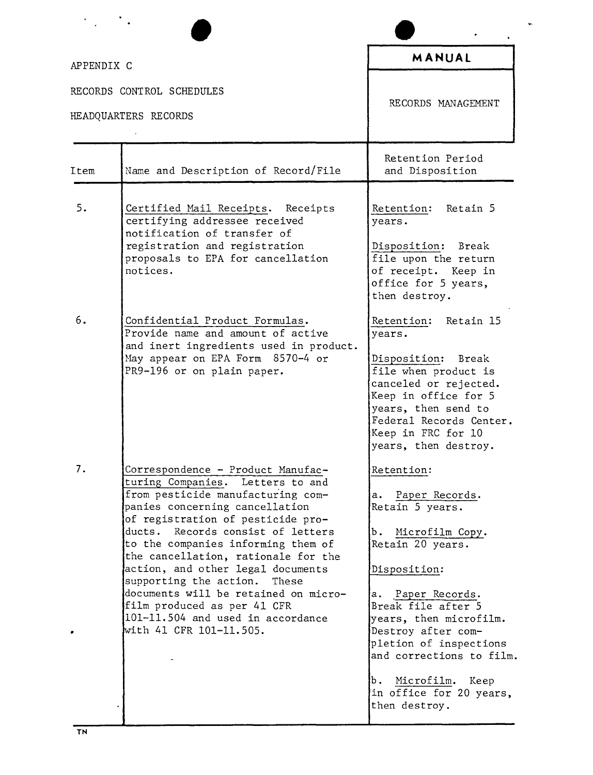| APPENDIX C |                                                                                                                                                                                                                                                                                                                                                                                                                                                                                                                    | MANUAL                                                                                                                                                                                                                                                                                                                                   |
|------------|--------------------------------------------------------------------------------------------------------------------------------------------------------------------------------------------------------------------------------------------------------------------------------------------------------------------------------------------------------------------------------------------------------------------------------------------------------------------------------------------------------------------|------------------------------------------------------------------------------------------------------------------------------------------------------------------------------------------------------------------------------------------------------------------------------------------------------------------------------------------|
|            | RECORDS CONTROL SCHEDULES<br>HEADQUARTERS RECORDS                                                                                                                                                                                                                                                                                                                                                                                                                                                                  | RECORDS MANAGEMENT                                                                                                                                                                                                                                                                                                                       |
| Item       | Name and Description of Record/File                                                                                                                                                                                                                                                                                                                                                                                                                                                                                | Retention Period<br>and Disposition                                                                                                                                                                                                                                                                                                      |
| 5.         | Certified Mail Receipts. Receipts<br>certifying addressee received<br>notification of transfer of<br>registration and registration<br>proposals to EPA for cancellation<br>notices.                                                                                                                                                                                                                                                                                                                                | Retention: Retain 5<br>years.<br>Disposition: Break<br>file upon the return<br>of receipt. Keep in<br>office for 5 years,<br>then destroy.                                                                                                                                                                                               |
| 6.         | Confidential Product Formulas.<br>Provide name and amount of active<br>and inert ingredients used in product.<br>May appear on EPA Form 8570-4 or<br>PR9-196 or on plain paper.                                                                                                                                                                                                                                                                                                                                    | Retention: Retain 15<br>years.<br>Disposition: Break<br>file when product is<br>canceled or rejected.<br>Keep in office for 5<br>years, then send to<br>Federal Records Center.<br>Keep in FRC for 10<br>years, then destroy.                                                                                                            |
| 7.         | Correspondence - Product Manufac-<br>turing Companies. Letters to and<br>from pesticide manufacturing com-<br>panies concerning cancellation<br>of registration of pesticide pro-<br>ducts. Records consist of letters<br>to the companies informing them of<br>the cancellation, rationale for the<br>action, and other legal documents<br>supporting the action.<br>These<br>documents will be retained on micro-<br>film produced as per 41 CFR<br>101-11.504 and used in accordance<br>with 41 CFR 101-11.505. | Retention:<br>a. Paper Records.<br>Retain 5 years.<br>Microfilm Copy.<br>Ъ.<br>Retain 20 years.<br>Disposition:<br>a. Paper Records.<br>Break file after 5<br>years, then microfilm.<br>Destroy after com-<br>pletion of inspections<br>and corrections to film.<br>Microfilm.<br>b.<br>Keep<br>in office for 20 years,<br>then destroy. |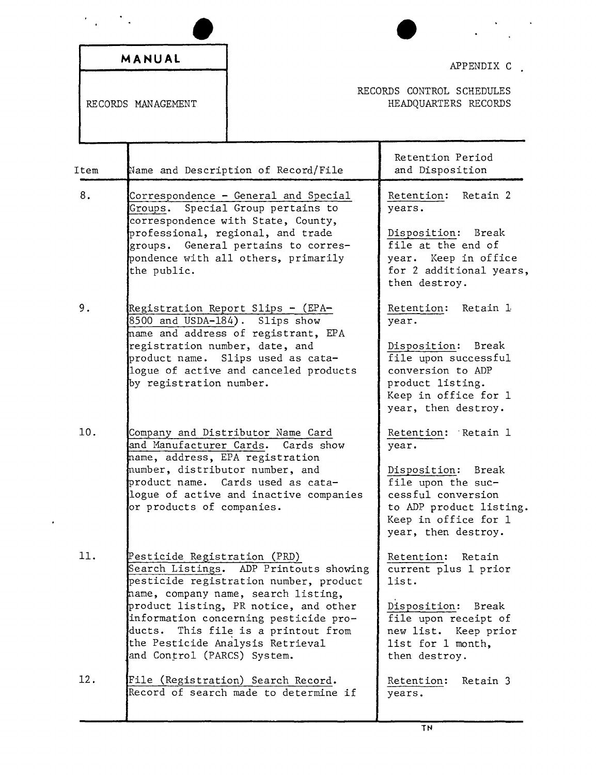|      | MANUAL                                                                                                                                      |                                                                                                                                                                                                                                                                               | APPENDIX C                                                                                                                                                                  |
|------|---------------------------------------------------------------------------------------------------------------------------------------------|-------------------------------------------------------------------------------------------------------------------------------------------------------------------------------------------------------------------------------------------------------------------------------|-----------------------------------------------------------------------------------------------------------------------------------------------------------------------------|
|      | RECORDS MANAGEMENT                                                                                                                          |                                                                                                                                                                                                                                                                               | RECORDS CONTROL SCHEDULES<br>HEADQUARTERS RECORDS                                                                                                                           |
| Item |                                                                                                                                             | Name and Description of Record/File                                                                                                                                                                                                                                           | Retention Period<br>and Disposition                                                                                                                                         |
| 8.   | the public.                                                                                                                                 | Correspondence - General and Special<br>Groups. Special Group pertains to<br>correspondence with State, County,<br>professional, regional, and trade<br>groups. General pertains to corres-<br>pondence with all others, primarily                                            | Retention: Retain 2<br>years.<br>Disposition: Break<br>file at the end of<br>year. Keep in office<br>for 2 additional years,<br>then destroy.                               |
| 9.   | $8500$ and USDA-184). Slips show<br>registration number, date, and<br>by registration number.                                               | Registration Report Slips - (EPA-<br>name and address of registrant, EPA<br>product name. Slips used as cata-<br>logue of active and canceled products                                                                                                                        | Retention: Retain 1<br>year.<br>Disposition: Break<br>file upon successful<br>conversion to ADP<br>product listing.<br>Keep in office for 1<br>year, then destroy.          |
| 10.  | and Manufacturer Cards.<br>mame, address, EPA registration<br>mumber, distributor number, and<br>broduct name.<br>or products of companies. | Company and Distributor Name Card<br>Cards show<br>Cards used as cata-<br>logue of active and inactive companies                                                                                                                                                              | Retention: Retain 1<br>year.<br>Disposition:<br>Break<br>file upon the suc-<br>cessful conversion<br>to ADP product listing.<br>Keep in office for 1<br>year, then destroy. |
| 11.  | Pesticide Registration (PRD)<br>ducts.<br>and Control (PARCS) System.                                                                       | Search Listings. ADP Printouts showing<br>pesticide registration number, product<br>name, company name, search listing,<br>product listing, PR notice, and other<br>information concerning pesticide pro-<br>This file is a printout from<br>the Pesticide Analysis Retrieval | Retention:<br>Retain<br>current plus 1 prior<br>list.<br>Disposition: Break<br>file upon receipt of<br>new list. Keep prior<br>list for 1 month,<br>then destroy.           |
| 12.  |                                                                                                                                             | File (Registration) Search Record.<br>Record of search made to determine if                                                                                                                                                                                                   | Retention:<br>Retain 3<br>years.                                                                                                                                            |

 $\ddot{\phantom{0}}$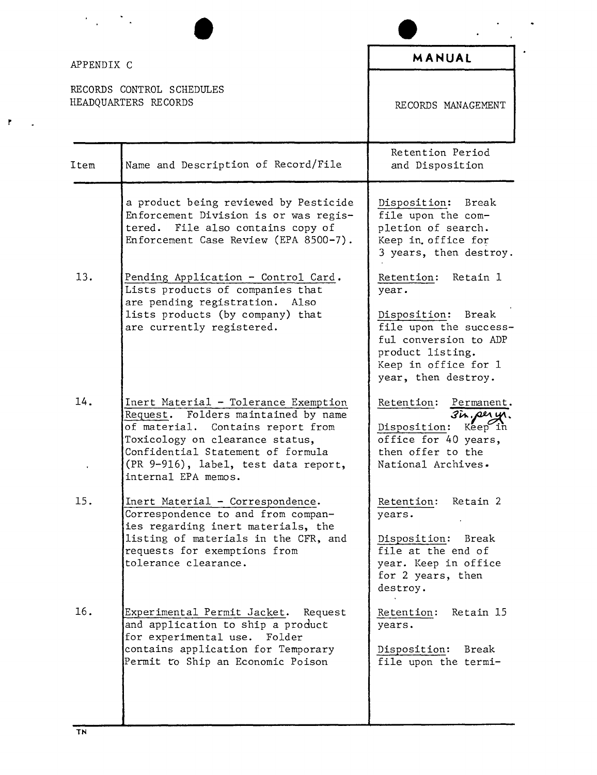|            |                                                                                                                                                                                                                                                         | MANUAL                                                                                                                                                               |
|------------|---------------------------------------------------------------------------------------------------------------------------------------------------------------------------------------------------------------------------------------------------------|----------------------------------------------------------------------------------------------------------------------------------------------------------------------|
| APPENDIX C |                                                                                                                                                                                                                                                         |                                                                                                                                                                      |
|            | RECORDS CONTROL SCHEDULES<br>HEADQUARTERS RECORDS                                                                                                                                                                                                       | RECORDS MANAGEMENT                                                                                                                                                   |
| Item       | Name and Description of Record/File                                                                                                                                                                                                                     | Retention Period<br>and Disposition                                                                                                                                  |
|            | a product being reviewed by Pesticide<br>Enforcement Division is or was regis-<br>File also contains copy of<br>tered.<br>Enforcement Case Review (EPA 8500-7).                                                                                         | Disposition: Break<br>file upon the com-<br>pletion of search.<br>Keep in office for<br>3 years, then destroy.                                                       |
| 13.        | Pending Application - Control Card.<br>Lists products of companies that<br>are pending registration.<br>Also                                                                                                                                            | Retention: Retain 1<br>year.                                                                                                                                         |
|            | lists products (by company) that<br>are currently registered.                                                                                                                                                                                           | Disposition: Break<br>file upon the success-<br>ful conversion to ADP<br>product listing.<br>Keep in office for 1<br>year, then destroy.                             |
| 14.        | Inert Material - Tolerance Exemption<br>Request. Folders maintained by name<br>of material. Contains report from<br>Toxicology on clearance status,<br>Confidential Statement of formula<br>(PR 9-916), label, test data report,<br>internal EPA memos. | Retention:<br>Permanent.<br>$3\overline{\mu}$ , per $\overline{\psi}$<br>$Kep$ in<br>Disposition:<br>office for 40 years,<br>then offer to the<br>National Archives. |
| 15.        | Inert Material - Correspondence.<br>Correspondence to and from compan-<br>ies regarding inert materials, the                                                                                                                                            | Retention:<br>Retain 2<br>years.                                                                                                                                     |
|            | listing of materials in the CFR, and<br>requests for exemptions from<br>tolerance clearance.                                                                                                                                                            | Disposition: Break<br>file at the end of<br>year. Keep in office<br>for 2 years, then<br>destroy.                                                                    |
| 16.        | Experimental Permit Jacket. Request<br>and application to ship a product<br>for experimental use. Folder                                                                                                                                                | Retain 15<br>Retention:<br>years.                                                                                                                                    |
|            | contains application for Temporary<br>Permit to Ship an Economic Poison                                                                                                                                                                                 | Disposition: Break<br>file upon the termi-                                                                                                                           |

 $\mathbf{F}$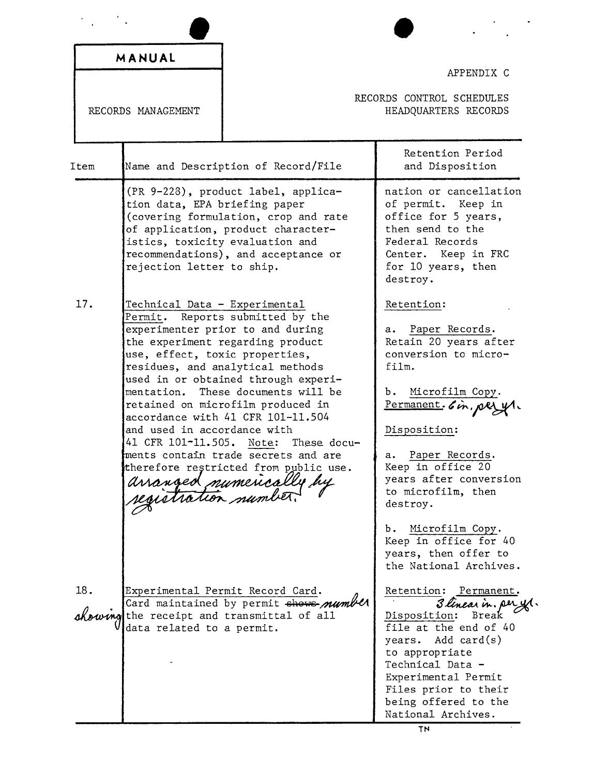|      | MANUAL                                                                                                                     |                                                                                                                                                                                                                                                                                                                                                                                                                               |                                                                                                                                                                                                                                                                            |
|------|----------------------------------------------------------------------------------------------------------------------------|-------------------------------------------------------------------------------------------------------------------------------------------------------------------------------------------------------------------------------------------------------------------------------------------------------------------------------------------------------------------------------------------------------------------------------|----------------------------------------------------------------------------------------------------------------------------------------------------------------------------------------------------------------------------------------------------------------------------|
|      |                                                                                                                            |                                                                                                                                                                                                                                                                                                                                                                                                                               | APPENDIX C                                                                                                                                                                                                                                                                 |
|      | RECORDS MANAGEMENT                                                                                                         |                                                                                                                                                                                                                                                                                                                                                                                                                               | RECORDS CONTROL SCHEDULES<br>HEADQUARTERS RECORDS                                                                                                                                                                                                                          |
| Item |                                                                                                                            | Name and Description of Record/File                                                                                                                                                                                                                                                                                                                                                                                           | Retention Period<br>and Disposition                                                                                                                                                                                                                                        |
|      | tion data, EPA briefing paper<br>istics, toxicity evaluation and<br>rejection letter to ship.                              | (PR 9-228), product label, applica-<br>(covering formulation, crop and rate<br>of application, product character-<br>recommendations), and acceptance or                                                                                                                                                                                                                                                                      | nation or cancellation<br>of permit. Keep in<br>office for 5 years,<br>then send to the<br>Federal Records<br>Center. Keep in FRC<br>for 10 years, then<br>destroy.                                                                                                        |
| 17.  | Technical Data - Experimental<br>use, effect, toxic properties,<br>and used in accordance with<br>41 CFR 101-11.505. Note: | Permit. Reports submitted by the<br>experimenter prior to and during<br>the experiment regarding product<br>residues, and analytical methods<br>used in or obtained through experi-<br>mentation. These documents will be<br>retained on microfilm produced in<br>accordance with 41 CFR 101-11.504<br>These docu-<br>ments contain trade secrets and are<br>therefore restricted from public use.<br>arranged numerically by | Retention:<br>Paper Records.<br>а.<br>Retain 20 years after<br>conversion to micro-<br>film.<br>Microfilm Copy.<br>b.<br>Permanent. 6 in. per yr.<br>Disposition:<br>Paper Records.<br>я.<br>Keep in office 20<br>years after conversion<br>to microfilm, then<br>destroy. |
| 18.  | data related to a permit.                                                                                                  | Experimental Permit Record Card.<br>Card maintained by permit shows number<br>chowing the receipt and transmittal of all                                                                                                                                                                                                                                                                                                      | Microfilm Copy.<br>b.<br>Keep in office for 40<br>years, then offer to<br>the National Archives.<br>Retention: Permanent.<br>3 linear in. pery<br>Disposition: Break<br>file at the end of 40<br>years. Add card(s)<br>to appropriate<br>Technical Data -                  |
|      |                                                                                                                            |                                                                                                                                                                                                                                                                                                                                                                                                                               | Experimental Permit<br>Files prior to their<br>being offered to the<br>National Archives.<br>TN                                                                                                                                                                            |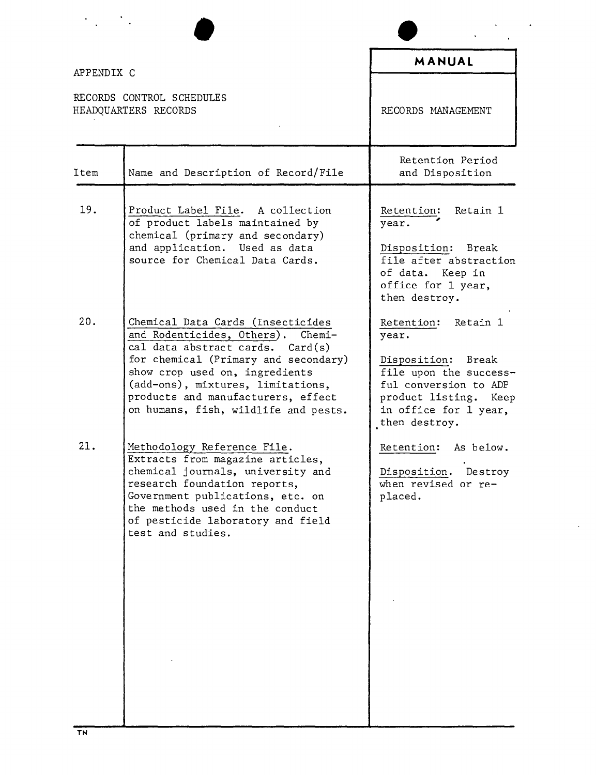| APPENDIX C                                        |                                                                                                                                                                                                                                                                                                                 | MANUAL                                                                                                                                                                   |
|---------------------------------------------------|-----------------------------------------------------------------------------------------------------------------------------------------------------------------------------------------------------------------------------------------------------------------------------------------------------------------|--------------------------------------------------------------------------------------------------------------------------------------------------------------------------|
| RECORDS CONTROL SCHEDULES<br>HEADQUARTERS RECORDS |                                                                                                                                                                                                                                                                                                                 | RECORDS MANAGEMENT                                                                                                                                                       |
| Item                                              | Name and Description of Record/File                                                                                                                                                                                                                                                                             | Retention Period<br>and Disposition                                                                                                                                      |
| 19.                                               | Product Label File. A collection<br>of product labels maintained by<br>chemical (primary and secondary)<br>and application. Used as data<br>source for Chemical Data Cards.                                                                                                                                     | Retention: Retain 1<br>year.<br>Disposition: Break<br>file after abstraction<br>of data. Keep in<br>office for 1 year,<br>then destroy.                                  |
| 20.                                               | Chemical Data Cards (Insecticides<br>and Rodenticides, Others).<br>$Chemi-$<br>cal data abstract cards.<br>Card(s)<br>for chemical (Primary and secondary)<br>show crop used on, ingredients<br>(add-ons), mixtures, limitations,<br>products and manufacturers, effect<br>on humans, fish, wildlife and pests. | Retention: Retain 1<br>year.<br>Disposition: Break<br>file upon the success-<br>ful conversion to ADP<br>product listing. Keep<br>in office for 1 year,<br>then destroy. |
| 21.                                               | Methodology Reference File.<br>Extracts from magazine articles,<br>chemical journals, university and<br>research foundation reports,<br>Government publications, etc. on<br>the methods used in the conduct<br>of pesticide laboratory and field<br>test and studies.                                           | Retention: As below.<br>Disposition. Destroy<br>when revised or re-<br>placed.                                                                                           |

 $\bullet$ 

¥,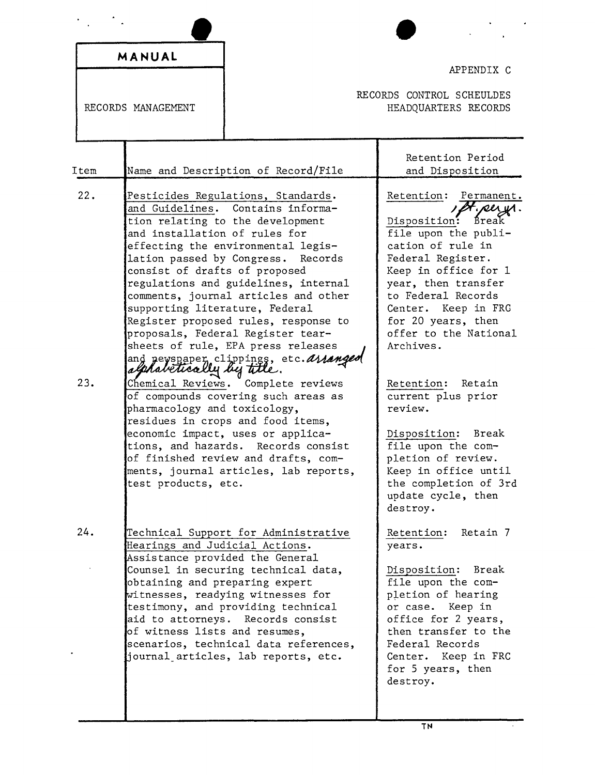|                    | MANUAL                                                                                                                                                     |                                                                                                                                                                                                                                                                                                                                                                                                          | APPENDIX C                                                                                                                                                                                                                                                                              |
|--------------------|------------------------------------------------------------------------------------------------------------------------------------------------------------|----------------------------------------------------------------------------------------------------------------------------------------------------------------------------------------------------------------------------------------------------------------------------------------------------------------------------------------------------------------------------------------------------------|-----------------------------------------------------------------------------------------------------------------------------------------------------------------------------------------------------------------------------------------------------------------------------------------|
| RECORDS MANAGEMENT |                                                                                                                                                            |                                                                                                                                                                                                                                                                                                                                                                                                          | RECORDS CONTROL SCHEULDES<br>HEADQUARTERS RECORDS                                                                                                                                                                                                                                       |
| Item               |                                                                                                                                                            | Name and Description of Record/File                                                                                                                                                                                                                                                                                                                                                                      | Retention Period<br>and Disposition                                                                                                                                                                                                                                                     |
| 22.                | and installation of rules for<br>lation passed by Congress.<br>consist of drafts of proposed<br>supporting literature, Federal<br>alphabetically by title. | Pesticides Regulations, Standards.<br>and Guidelines. Contains informa-<br>tion relating to the development<br>effecting the environmental legis-<br>Records<br>regulations and guidelines, internal<br>comments, journal articles and other<br>Register proposed rules, response to<br>proposals, Federal Register tear-<br>sheets of rule, EPA press releases<br>and newspaper clippings, etc. ananged | Retention: Permanent.<br>Ot. per yr.<br>Disposition:<br>Break<br>file upon the publi-<br>cation of rule in<br>Federal Register.<br>Keep in office for 1<br>year, then transfer<br>to Federal Records<br>Center. Keep in FRC<br>for 20 years, then<br>offer to the National<br>Archives. |
| 23.                | pharmacology and toxicology,<br>test products, etc.                                                                                                        | Chemical Reviews. Complete reviews<br>of compounds covering such areas as<br>residues in crops and food items,<br>economic impact, uses or applica-<br>tions, and hazards. Records consist<br>of finished review and drafts, com-<br>ments, journal articles, lab reports,                                                                                                                               | Retention: Retain<br>current plus prior<br>review.<br>Disposition: Break<br>file upon the com-<br>pletion of review.<br>Keep in office until<br>the completion of 3rd<br>update cycle, then<br>destroy.                                                                                 |
| 24.                | Hearings and Judicial Actions.<br>Assistance provided the General<br>obtaining and preparing expert<br>of witness lists and resumes,                       | Technical Support for Administrative<br>Counsel in securing technical data,<br>witnesses, readying witnesses for<br>testimony, and providing technical<br>aid to attorneys. Records consist<br>scenarios, technical data references,<br>journal articles, lab reports, etc.                                                                                                                              | Retention:<br>Retain 7<br>years.<br>Disposition:<br>Break<br>file upon the com-<br>pletion of hearing<br>or case.<br>Keep in<br>office for 2 years,<br>then transfer to the<br>Federal Records<br>Keep in FRC<br>Center.<br>for 5 years, then<br>destroy.                               |

 $\hat{\boldsymbol{\epsilon}}$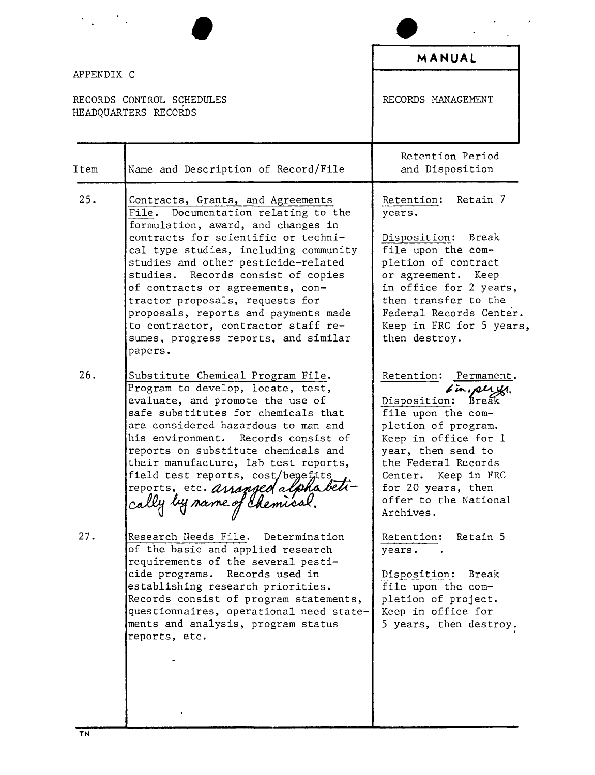|                                                                 |                                                                                                                                                                                                                                                                                                                                                                                                                                                                                      | MANUAL                                                                                                                                                                                                                                                              |
|-----------------------------------------------------------------|--------------------------------------------------------------------------------------------------------------------------------------------------------------------------------------------------------------------------------------------------------------------------------------------------------------------------------------------------------------------------------------------------------------------------------------------------------------------------------------|---------------------------------------------------------------------------------------------------------------------------------------------------------------------------------------------------------------------------------------------------------------------|
| APPENDIX C<br>RECORDS CONTROL SCHEDULES<br>HEADQUARTERS RECORDS |                                                                                                                                                                                                                                                                                                                                                                                                                                                                                      | RECORDS MANAGEMENT                                                                                                                                                                                                                                                  |
| Item                                                            | Name and Description of Record/File                                                                                                                                                                                                                                                                                                                                                                                                                                                  | Retention Period<br>and Disposition                                                                                                                                                                                                                                 |
| 25.                                                             | Contracts, Grants, and Agreements<br>File. Documentation relating to the<br>formulation, award, and changes in<br>contracts for scientific or techni-<br>cal type studies, including community<br>studies and other pesticide-related<br>studies. Records consist of copies<br>of contracts or agreements, con-<br>tractor proposals, requests for<br>proposals, reports and payments made<br>to contractor, contractor staff re-<br>sumes, progress reports, and similar<br>papers. | Retention: Retain 7<br>years.<br>Disposition: Break<br>file upon the com-<br>pletion of contract<br>or agreement. Keep<br>in office for 2 years,<br>then transfer to the<br>Federal Records Center.<br>Keep in FRC for 5 years,<br>then destroy.                    |
| 26.                                                             | Substitute Chemical Program File.<br>Program to develop, locate, test,<br>evaluate, and promote the use of<br>safe substitutes for chemicals that<br>are considered hazardous to man and<br>his environment. Records consist of<br>reports on substitute chemicals and<br>their manufacture, lab test reports,<br>field test reports, cost/benefits<br>reports, etc. ananged alphabel-<br>cally by same of chemical.                                                                 | Retention: Permanent.<br>6 in, pergy.<br>Break<br>Disposition:<br>file upon the com-<br>pletion of program.<br>Keep in office for 1<br>year, then send to<br>the Federal Records<br>Center. Keep in FRC<br>for 20 years, then<br>offer to the National<br>Archives. |
| 27.                                                             | Research Needs File. Determination<br>of the basic and applied research<br>requirements of the several pesti-<br>cide programs. Records used in<br>establishing research priorities.<br>Records consist of program statements,<br>questionnaires, operational need state-<br>ments and analysis, program status<br>reports, etc.                                                                                                                                                     | Retention: Retain 5<br>years.<br>Disposition: Break<br>file upon the com-<br>pletion of project.<br>Keep in office for<br>5 years, then destroy.                                                                                                                    |

 $\epsilon$ 

 $\ddot{\phantom{0}}$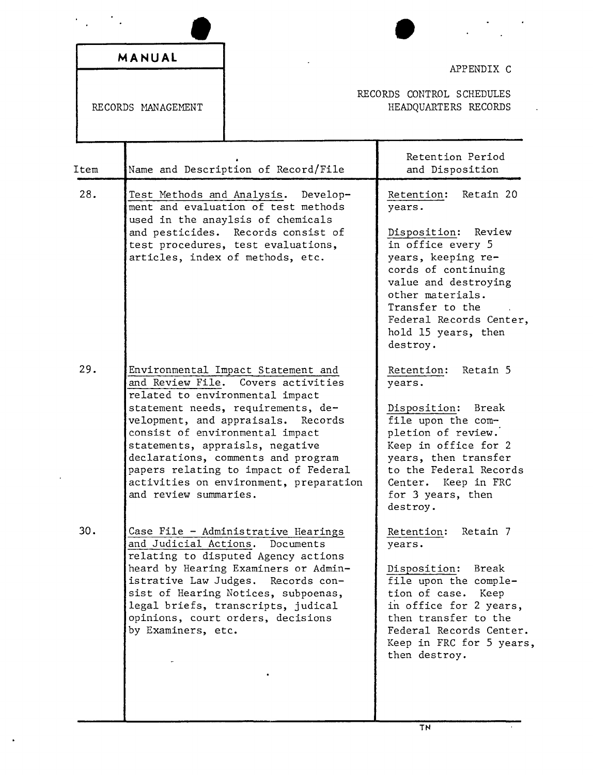| MANUAL<br>RECORDS MANAGEMENT |                                                                         |                                                                                                                                                                                                                                                                                                     | APPENDIX C                                                                                                                                                                                                                                                                           |
|------------------------------|-------------------------------------------------------------------------|-----------------------------------------------------------------------------------------------------------------------------------------------------------------------------------------------------------------------------------------------------------------------------------------------------|--------------------------------------------------------------------------------------------------------------------------------------------------------------------------------------------------------------------------------------------------------------------------------------|
|                              |                                                                         | RECORDS CONTROL SCHEDULES<br>HEADQUARTERS RECORDS                                                                                                                                                                                                                                                   |                                                                                                                                                                                                                                                                                      |
| Item                         |                                                                         | Name and Description of Record/File                                                                                                                                                                                                                                                                 | Retention Period<br>and Disposition                                                                                                                                                                                                                                                  |
| 28.<br>29.                   | Test Methods and Analysis.                                              | Develop-<br>ment and evaluation of test methods<br>used in the anaylsis of chemicals<br>and pesticides. Records consist of<br>test procedures, test evaluations,<br>articles, index of methods, etc.<br>Environmental Impact Statement and                                                          | Retain 20<br>Retention:<br>years.<br>Review<br>Disposition:<br>in office every 5<br>years, keeping re-<br>cords of continuing<br>value and destroying<br>other materials.<br>Transfer to the<br>Federal Records Center,<br>hold 15 years, then<br>destroy.<br>Retain 5<br>Retention: |
|                              | and Review File.<br>velopment, and appraisals.<br>and review summaries. | Covers activities<br>related to environmental impact<br>statement needs, requirements, de-<br>Records<br>consist of environmental impact<br>statements, appraisls, negative<br>declarations, comments and program<br>papers relating to impact of Federal<br>activities on environment, preparation | years.<br>Disposition:<br>Break<br>file upon the com-<br>pletion of review.<br>Keep in office for 2<br>years, then transfer<br>to the Federal Records<br>Center. Keep in FRC<br>for 3 years, then<br>destroy.                                                                        |
| 30.                          | istrative Law Judges.<br>by Examiners, etc.                             | Case File - Administrative Hearings<br>and Judicial Actions. Documents<br>relating to disputed Agency actions<br>heard by Hearing Examiners or Admin-<br>Records con-<br>sist of Hearing Notices, subpoenas,<br>legal briefs, transcripts, judical<br>opinions, court orders, decisions             | Retention:<br>Retain 7<br>years.<br>Disposition:<br>Break<br>file upon the comple-<br>tion of case.<br>Keep<br>in office for 2 years,<br>then transfer to the<br>Federal Records Center.<br>Keep in FRC for 5 years,<br>then destroy.                                                |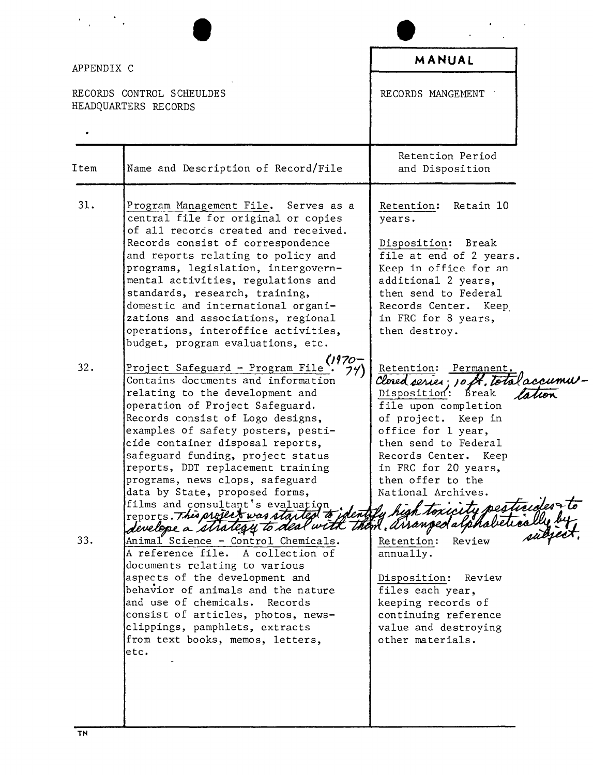| APPENDIX C |                                                                                                                                                                                                                                                                                                                                                                                                                                                                                        | MANUAL                                                                                                                                                                                                                                                                       |
|------------|----------------------------------------------------------------------------------------------------------------------------------------------------------------------------------------------------------------------------------------------------------------------------------------------------------------------------------------------------------------------------------------------------------------------------------------------------------------------------------------|------------------------------------------------------------------------------------------------------------------------------------------------------------------------------------------------------------------------------------------------------------------------------|
|            | RECORDS CONTROL SCHEULDES<br>HEADQUARTERS RECORDS                                                                                                                                                                                                                                                                                                                                                                                                                                      | RECORDS MANGEMENT                                                                                                                                                                                                                                                            |
|            |                                                                                                                                                                                                                                                                                                                                                                                                                                                                                        |                                                                                                                                                                                                                                                                              |
| Item       | Name and Description of Record/File                                                                                                                                                                                                                                                                                                                                                                                                                                                    | Retention Period<br>and Disposition                                                                                                                                                                                                                                          |
| 31.        | Program Management File. Serves as a<br>central file for original or copies<br>of all records created and received.<br>Records consist of correspondence<br>and reports relating to policy and<br>programs, legislation, intergovern-<br>mental activities, regulations and                                                                                                                                                                                                            | Retention:<br>Retain 10<br>years.<br>Disposition: Break<br>file at end of 2 years.<br>Keep in office for an<br>additional 2 years,                                                                                                                                           |
|            | standards, research, training,<br>domestic and international organi-<br>zations and associations, regional<br>operations, interoffice activities,<br>budget, program evaluations, etc.                                                                                                                                                                                                                                                                                                 | then send to Federal<br>Records Center. Keep<br>in FRC for 8 years,<br>then destroy.                                                                                                                                                                                         |
| 32.        | Project Safeguard - Program File<br>Contains documents and information<br>relating to the development and<br>operation of Project Safeguard.<br>Records consist of Logo designs,<br>examples of safety posters, pesti-<br>cide container disposal reports,<br>safeguard funding, project status<br>reports, DDT replacement training<br>programs, news clops, safeguard<br>data by State, proposed forms,<br>reports. This project was started to identify high toxicity pesticides to | Retention: Permanent.<br>Closed series; 10 st. total accumu<br>Disposition: Break<br>file upon completion<br>of project. Keep in<br>office for 1 year,<br>then send to Federal<br>Records Center.<br>Keep<br>in FRC for 20 years,<br>then offer to the<br>National Archives. |
| 33.        | A reference file. A collection of<br>documents relating to various<br>aspects of the development and<br>behavior of animals and the nature<br>and use of chemicals.<br>Records<br>consist of articles, photos, news-<br>clippings, pamphlets, extracts<br>from text books, memos, letters,<br>etc.                                                                                                                                                                                     | annually.<br>Disposition:<br>Review<br>files each year,<br>keeping records of<br>continuing reference<br>value and destroying<br>other materials.                                                                                                                            |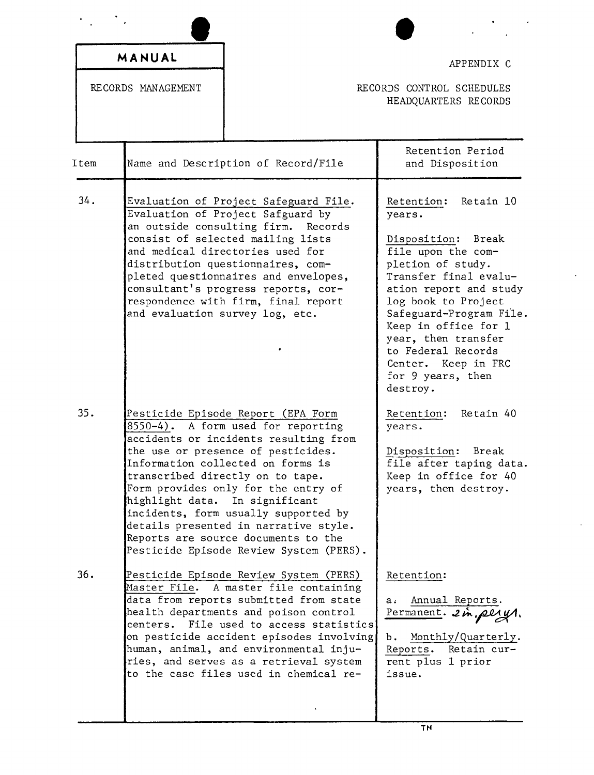| Item<br>34.<br>35. | RECORDS MANAGEMENT |                                                                                                                                                                                                                                                                                                                                                                                                                                                                              | RECORDS CONTROL SCHEDULES<br>HEADQUARTERS RECORDS                                                                                                                                                                                                                                                                                    |
|--------------------|--------------------|------------------------------------------------------------------------------------------------------------------------------------------------------------------------------------------------------------------------------------------------------------------------------------------------------------------------------------------------------------------------------------------------------------------------------------------------------------------------------|--------------------------------------------------------------------------------------------------------------------------------------------------------------------------------------------------------------------------------------------------------------------------------------------------------------------------------------|
|                    |                    |                                                                                                                                                                                                                                                                                                                                                                                                                                                                              |                                                                                                                                                                                                                                                                                                                                      |
|                    |                    | Name and Description of Record/File                                                                                                                                                                                                                                                                                                                                                                                                                                          | Retention Period<br>and Disposition                                                                                                                                                                                                                                                                                                  |
|                    |                    | Evaluation of Project Safeguard File.<br>Evaluation of Project Safguard by<br>an outside consulting firm.<br>Records<br>consist of selected mailing lists<br>and medical directories used for<br>distribution questionnaires, com-<br>pleted questionnaires and envelopes,<br>consultant's progress reports, cor-<br>respondence with firm, final report<br>and evaluation survey log, etc.                                                                                  | Retention:<br>Retain 10<br>years.<br>Disposition: Break<br>file upon the com-<br>pletion of study.<br>Transfer final evalu-<br>ation report and study<br>log book to Project<br>Safeguard-Program File.<br>Keep in office for 1<br>year, then transfer<br>to Federal Records<br>Center. Keep in FRC<br>for 9 years, then<br>destroy. |
|                    |                    | Pesticide Episode Report (EPA Form<br>8550-4). A form used for reporting<br>accidents or incidents resulting from<br>the use or presence of pesticides.<br>Information collected on forms is<br>transcribed directly on to tape.<br>Form provides only for the entry of<br>highlight data. In significant<br>incidents, form usually supported by<br>details presented in narrative style.<br>Reports are source documents to the<br>Pesticide Episode Review System (PERS). | Retention: Retain 40<br>years.<br>Disposition: Break<br>file after taping data.<br>Keep in office for 40<br>years, then destroy.                                                                                                                                                                                                     |
| 36.                |                    | Pesticide Episode Review System (PERS)<br>Master File. A master file containing<br>data from reports submitted from state<br>health departments and poison control<br>centers. File used to access statistics<br>on pesticide accident episodes involving<br>human, animal, and environmental inju-<br>ries, and serves as a retrieval system<br>to the case files used in chemical re-                                                                                      | Retention:<br>Annual Reports.<br>a.<br>Permanent. 2 in pery.<br>Monthly/Quarterly.<br>Ъ.<br>Reports.<br>Retain cur-<br>rent plus 1 prior<br>issue.                                                                                                                                                                                   |

 $\ddot{\phantom{a}}$ 

 $\bar{z}$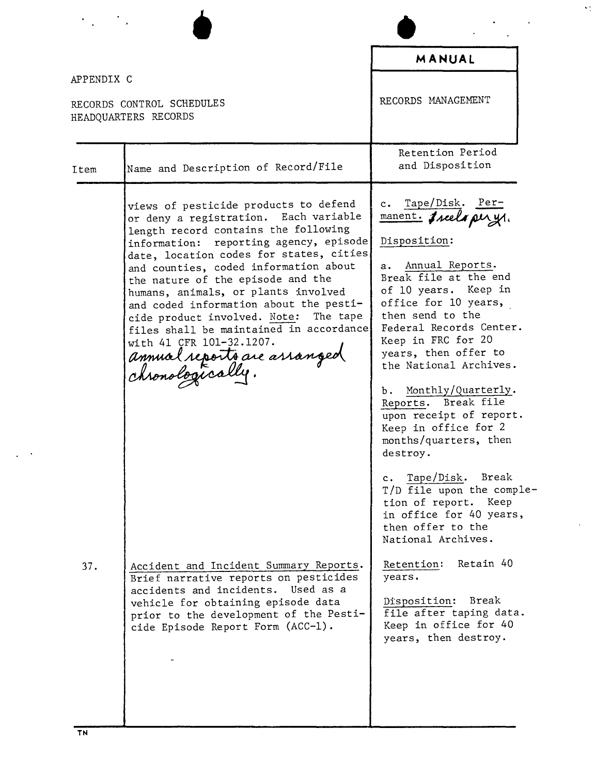•  $\frac{1}{\alpha}$ **MANUAL** APPENDIX C RECORDS HANAGEMENT RECORDS CONTROL SCHEDULES HEADQUARTERS RECORDS Retention Period Item Name and Description of Record/File and Disposition views of pesticide products to defend c. Tape/Disk. Permanent. I reels per yr. or deny a registration. Each variable length record contains the following information: reporting agency, episode Disposition: date, location codes for states, cities and counties, coded information about a. Annual Reports. Break file at the end the nature of the episode and the of 10 years. Keep in humans, animals, or plants involved and coded information about the pestioffice for 10 years, cide product involved. Note: The tape then send to the Federal Records Center. files shall be maintained in accordance Keep in FRC for 20 with 41 CFR 101-32.1207. years, then offer to annual reports are arranged onologically the National Archives. b. Monthly/Quarterly. Reports. Break file upon receipt of report. Keep in office for 2 months/quarters, then destroy. c. Tape/Disk. Break T/D file upon the completion of report. Keep in office for 40 years, then offer to the National Archives. Retention: Retain 40 37. Accident and Incident Summary Reports. Brief narrative reports on pesticides years. accidents and incidents. Used as a vehicle for obtaining episode data Disposition: Break prior to the development of the Pestifile after taping data. cide Episode Report Form (ACC-1). Keep in office for 40 years, then destroy.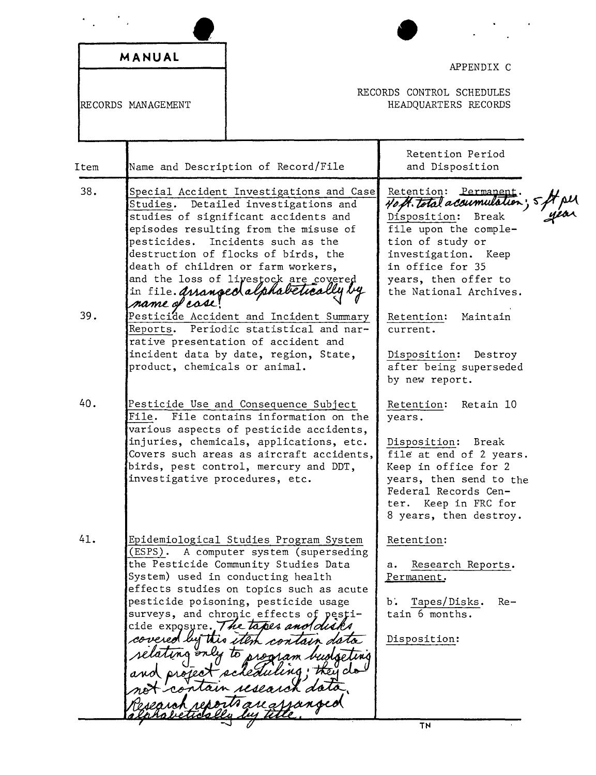|                    | MANUAL                                         |                                                                                                                                                                                                                                                                                                                                                                                        | APPENDIX C<br>RECORDS CONTROL SCHEDULES                                                                                                                                                                                |
|--------------------|------------------------------------------------|----------------------------------------------------------------------------------------------------------------------------------------------------------------------------------------------------------------------------------------------------------------------------------------------------------------------------------------------------------------------------------------|------------------------------------------------------------------------------------------------------------------------------------------------------------------------------------------------------------------------|
| RECORDS MANAGEMENT |                                                |                                                                                                                                                                                                                                                                                                                                                                                        | HEADQUARTERS RECORDS                                                                                                                                                                                                   |
| Item               |                                                | Name and Description of Record/File                                                                                                                                                                                                                                                                                                                                                    | Retention Period<br>and Disposition                                                                                                                                                                                    |
| 38.                | pesticides.                                    | Special Accident Investigations and Case<br>Studies. Detailed investigations and<br>studies of significant accidents and<br>episodes resulting from the misuse of<br>Incidents such as the<br>destruction of flocks of birds, the<br>death of children or farm workers,<br>and the loss of livestock are covered<br>in file. Arranged alphabetically                                   | Retention: Permanent.<br>40 ft. total acoumulation;<br>Disposition:<br>Break<br>file upon the comple-<br>tion of study or<br>investigation. Keep<br>in office for 35<br>years, then offer to<br>the National Archives. |
| 39.                | name of case!<br>product, chemicals or animal. | Pesticide Accident and Incident Summary<br>Reports. Periodic statistical and nar-<br>rative presentation of accident and<br>incident data by date, region, State,                                                                                                                                                                                                                      | Retention:<br>Maintain<br>current.<br>Disposition: Destroy<br>after being superseded<br>by new report.                                                                                                                 |
| 40.                | investigative procedures, etc.                 | Pesticide Use and Consequence Subject<br>File. File contains information on the<br>various aspects of pesticide accidents,<br>injuries, chemicals, applications, etc.<br>Covers such areas as aircraft accidents,<br>birds, pest control, mercury and DDT,                                                                                                                             | Retention:<br>Retain 10<br>years.<br>Disposition: Break<br>file at end of 2 years.<br>Keep in office for 2<br>years, then send to the<br>Federal Records Cen-<br>Keep in FRC for<br>ter.<br>8 years, then destroy.     |
| 41.                | covered by this i                              | Epidemiological Studies Program System<br>(ESPS). A computer system (superseding<br>the Pesticide Community Studies Data<br>System) used in conducting health<br>effects studies on topics such as acute<br>pesticide poisoning, pesticide usage<br>surveys, and chronic effects of pesti-<br>cide exposure. The tapes and disks<br>contoin a<br><b>Their</b><br>contain research dots | Retention:<br>Research Reports.<br>а.<br>Permanent,<br>Ъ.<br>Tapes/Disks.<br>Re-<br>tain 6 months.<br>Disposition:                                                                                                     |
|                    |                                                |                                                                                                                                                                                                                                                                                                                                                                                        | <b>TN</b>                                                                                                                                                                                                              |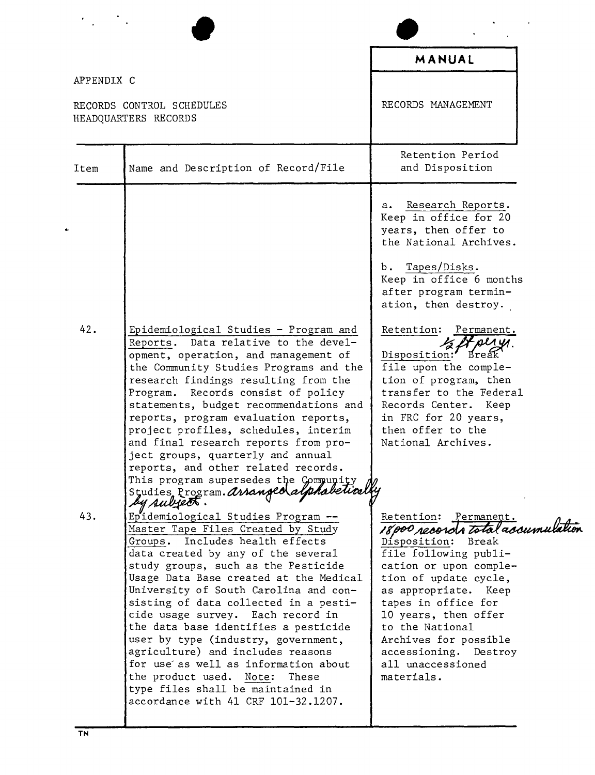|            |                                                                                                                                                                                                                                                                                                                                                                                                                                                                                                                                                                                                                                       | MANUAL                                                                                                                                                                                                                                                                                                                                        |
|------------|---------------------------------------------------------------------------------------------------------------------------------------------------------------------------------------------------------------------------------------------------------------------------------------------------------------------------------------------------------------------------------------------------------------------------------------------------------------------------------------------------------------------------------------------------------------------------------------------------------------------------------------|-----------------------------------------------------------------------------------------------------------------------------------------------------------------------------------------------------------------------------------------------------------------------------------------------------------------------------------------------|
| APPENDIX C |                                                                                                                                                                                                                                                                                                                                                                                                                                                                                                                                                                                                                                       |                                                                                                                                                                                                                                                                                                                                               |
|            | RECORDS CONTROL SCHEDULES<br>HEADQUARTERS RECORDS                                                                                                                                                                                                                                                                                                                                                                                                                                                                                                                                                                                     | RECORDS MANAGEMENT                                                                                                                                                                                                                                                                                                                            |
| Item       | Name and Description of Record/File                                                                                                                                                                                                                                                                                                                                                                                                                                                                                                                                                                                                   | Retention Period<br>and Disposition                                                                                                                                                                                                                                                                                                           |
|            |                                                                                                                                                                                                                                                                                                                                                                                                                                                                                                                                                                                                                                       | Research Reports.<br>а.<br>Keep in office for 20<br>years, then offer to<br>the National Archives.<br>Tapes/Disks.<br>b.<br>Keep in office 6 months<br>after program termin-<br>ation, then destroy.                                                                                                                                          |
| 42.        | Epidemiological Studies - Program and<br>Reports. Data relative to the devel-<br>opment, operation, and management of<br>the Community Studies Programs and the<br>research findings resulting from the<br>Program. Records consist of policy<br>statements, budget recommendations and<br>reports, program evaluation reports,<br>project profiles, schedules, interim<br>and final research reports from pro-<br>ject groups, quarterly and annual<br>reports, and other related records.<br>This program supersedes the Compunity<br>Studies Program. assanged alphabetical<br>by subject.                                         | Retention:<br>Permanent.<br>DLA UA.<br>Disposition:<br><b>Break</b><br>file upon the comple-<br>tion of program, then<br>transfer to the Federal<br>Records Center. Keep<br>in FRC for 20 years,<br>then offer to the<br>National Archives.                                                                                                   |
| 43.        | Epidemiological Studies Program --<br>Master Tape Files Created by Study<br>Groups. Includes health effects<br>data created by any of the several<br>study groups, such as the Pesticide<br>Usage Data Base created at the Medical<br>University of South Carolina and con-<br>sisting of data collected in a pesti-<br>cide usage survey. Each record in<br>the data base identifies a pesticide<br>user by type (industry, government,<br>agriculture) and includes reasons<br>for use as well as information about<br>the product used. Note:<br>These<br>type files shall be maintained in<br>accordance with 41 CRF 101-32.1207. | Retention: Permanent.<br>18000 records total accumulation<br>Disposition:<br>Break<br>file following publi-<br>cation or upon comple-<br>tion of update cycle,<br>as appropriate. Keep<br>tapes in office for<br>10 years, then offer<br>to the National<br>Archives for possible<br>accessioning. Destroy<br>all unaccessioned<br>materials. |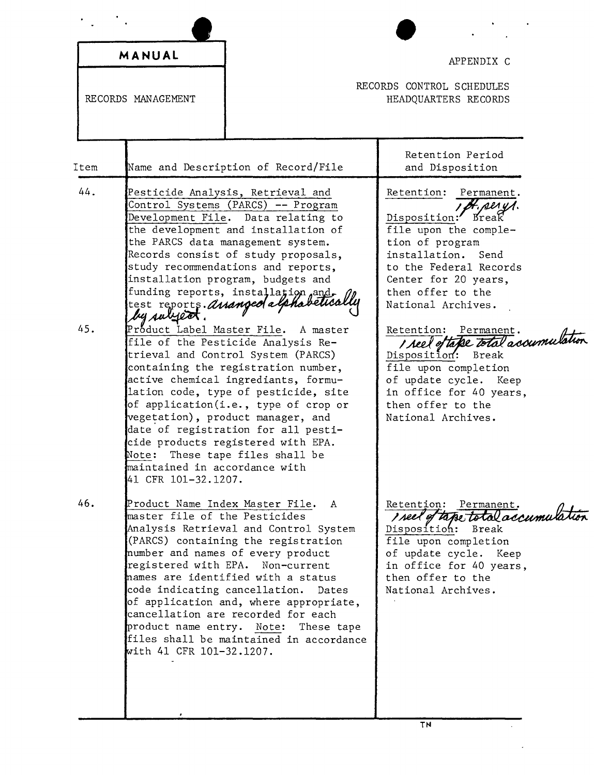|      | MANUAL                                                                                                                                                     |                                                                                                                                                                                                                                                                                                                                                                                                   | APPENDIX C                                                                                                                                                                                                                 |  |
|------|------------------------------------------------------------------------------------------------------------------------------------------------------------|---------------------------------------------------------------------------------------------------------------------------------------------------------------------------------------------------------------------------------------------------------------------------------------------------------------------------------------------------------------------------------------------------|----------------------------------------------------------------------------------------------------------------------------------------------------------------------------------------------------------------------------|--|
|      | RECORDS MANAGEMENT                                                                                                                                         |                                                                                                                                                                                                                                                                                                                                                                                                   | RECORDS CONTROL SCHEDULES<br>HEADQUARTERS RECORDS                                                                                                                                                                          |  |
| Item |                                                                                                                                                            | Name and Description of Record/File                                                                                                                                                                                                                                                                                                                                                               | Retention Period<br>and Disposition                                                                                                                                                                                        |  |
| 44.  | test reports. Anangeola laha<br>by subject.                                                                                                                | Pesticide Analysis, Retrieval and<br>Control Systems (PARCS) -- Program<br>Development File. Data relating to<br>the development and installation of<br>the PARCS data management system.<br>Records consist of study proposals,<br>study recommendations and reports,<br>installation program, budgets and<br>funding reports, installation and                                                  | Retention: Permanent.<br>I Bt. perys.<br>Disposition: Break<br>file upon the comple-<br>tion of program<br>installation. Send<br>to the Federal Records<br>Center for 20 years,<br>then offer to the<br>National Archives. |  |
| 45.  | Product Label Master File.<br>Note:<br>maintained in accordance with<br>41 CFR 101-32.1207.                                                                | A master<br>file of the Pesticide Analysis Re-<br>trieval and Control System (PARCS)<br>containing the registration number,<br>active chemical ingrediants, formu-<br>lation code, type of pesticide, site<br>of application(i.e., type of crop or<br>vegetation), product manager, and<br>date of registration for all pesti-<br>cide products registered with EPA.<br>These tape files shall be | Retention: Permanent.<br>I reel of take total accumulation<br>Disposition: Break<br>file upon completion<br>of update cycle. Keep<br>in office for 40 years,<br>then offer to the<br>National Archives.                    |  |
| 46.  | Product Name Index Master File.<br>master file of the Pesticides<br>code indicating cancellation.<br>product name entry. Note:<br>with 41 CFR 101-32.1207. | A<br>Analysis Retrieval and Control System<br>(PARCS) containing the registration<br>number and names of every product<br>registered with EPA. Non-current<br>names are identified with a status<br>Dates<br>of application and, where appropriate,<br>cancellation are recorded for each<br>These tape<br>files shall be maintained in accordance                                                | Retention: Permanent.<br>reel of tape total accumulation<br>Disposition: Break<br>file upon completion<br>of update cycle. Keep<br>in office for 40 years,<br>then offer to the<br>National Archives.                      |  |
|      |                                                                                                                                                            |                                                                                                                                                                                                                                                                                                                                                                                                   | TN                                                                                                                                                                                                                         |  |

 $\mathcal{L}^{(1)}$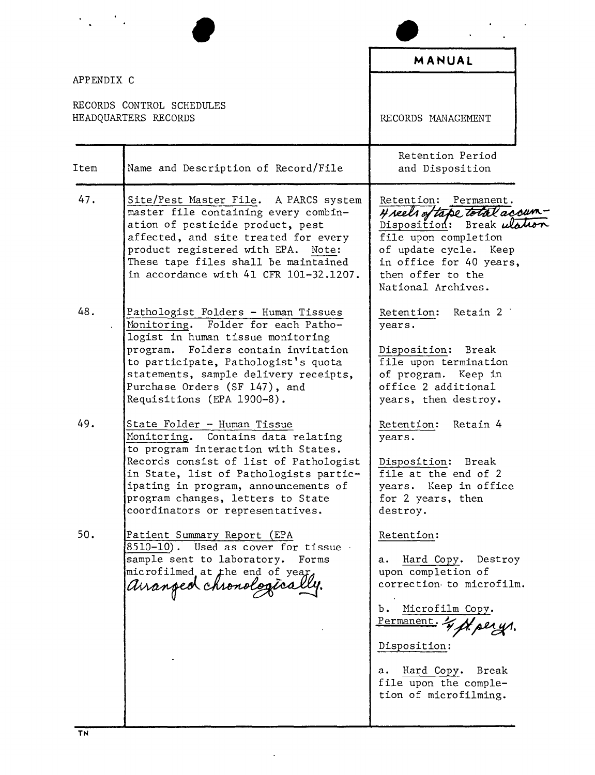| APPENDIX C |                                                                                                                                                                                                                                                                                                               | <b>MANUAL</b>                                                                                                                                                                                                                         |
|------------|---------------------------------------------------------------------------------------------------------------------------------------------------------------------------------------------------------------------------------------------------------------------------------------------------------------|---------------------------------------------------------------------------------------------------------------------------------------------------------------------------------------------------------------------------------------|
|            | RECORDS CONTROL SCHEDULES<br>HEADQUARTERS RECORDS                                                                                                                                                                                                                                                             | RECORDS MANAGEMENT                                                                                                                                                                                                                    |
| Item       | Name and Description of Record/File                                                                                                                                                                                                                                                                           | Retention Period<br>and Disposition                                                                                                                                                                                                   |
| 47.        | Site/Pest Master File. A PARCS system<br>master file containing every combin-<br>ation of pesticide product, pest<br>affected, and site treated for every<br>product registered with EPA. Note:<br>These tape files shall be maintained<br>in accordance with 41 CFR 101-32.1207.                             | Retention: Permanent.<br>4 seels of tape total accum<br>Disposition: Break ulation<br>file upon completion<br>of update cycle. Keep<br>in office for 40 years,<br>then offer to the<br>National Archives.                             |
| 48.        | Pathologist Folders - Human Tissues<br>Monitoring. Folder for each Patho-<br>logist in human tissue monitoring<br>program. Folders contain invitation<br>to participate, Pathologist's quota<br>statements, sample delivery receipts,<br>Purchase Orders (SF 147), and<br>Requisitions (EPA 1900-8).          | Retention: Retain 2<br>years.<br>Disposition: Break<br>file upon termination<br>of program. Keep in<br>office 2 additional<br>years, then destroy.                                                                                    |
| 49.        | State Folder - Human Tissue<br>Monitoring. Contains data relating<br>to program interaction with States.<br>Records consist of list of Pathologist<br>in State, list of Pathologists partic-<br>ipating in program, announcements of<br>program changes, letters to State<br>coordinators or representatives. | Retention: Retain 4<br>years.<br>Disposition: Break<br>file at the end of 2<br>years. Keep in office<br>for 2 years, then<br>destroy.                                                                                                 |
| 50.        | Patient Summary Report (EPA<br>8510-10). Used as cover for tissue<br>sample sent to laboratory. Forms<br>microfilmed at the end of year.<br>auanged chronological                                                                                                                                             | Retention:<br>Hard Copy. Destroy<br>а.<br>upon completion of<br>correction to microfilm.<br>Microfilm Copy.<br>Ъ.<br>Permanent. & Maerys.<br>Disposition:<br>Hard Copy. Break<br>а.<br>file upon the comple-<br>tion of microfilming. |

 $\ddot{\phantom{0}}$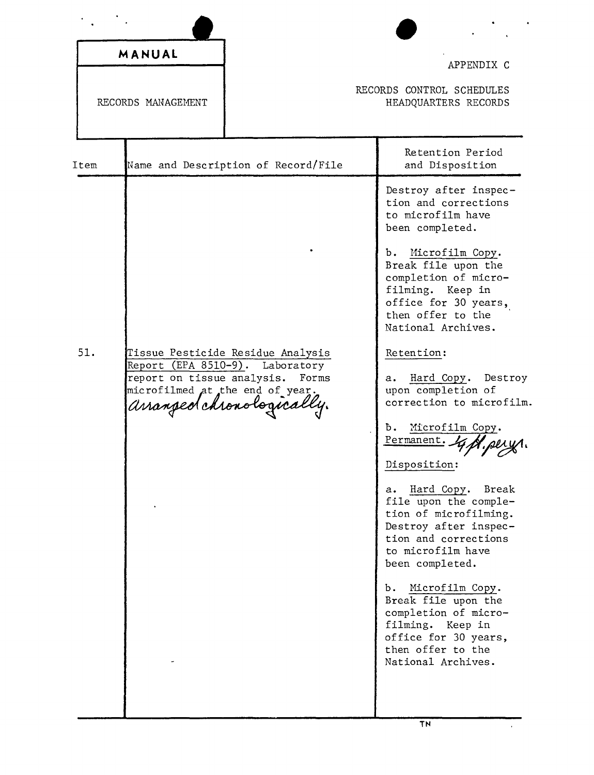|      | MANUAL<br>RECORDS MANAGEMENT                                  |                                                                                                            | APPENDIX C<br>RECORDS CONTROL SCHEDULES<br>HEADQUARTERS RECORDS                                                                                                                                                                                                                                                                                                                                                                                                                                                                                                                                                                                                                                                                                             |
|------|---------------------------------------------------------------|------------------------------------------------------------------------------------------------------------|-------------------------------------------------------------------------------------------------------------------------------------------------------------------------------------------------------------------------------------------------------------------------------------------------------------------------------------------------------------------------------------------------------------------------------------------------------------------------------------------------------------------------------------------------------------------------------------------------------------------------------------------------------------------------------------------------------------------------------------------------------------|
|      |                                                               |                                                                                                            |                                                                                                                                                                                                                                                                                                                                                                                                                                                                                                                                                                                                                                                                                                                                                             |
| Item |                                                               | Name and Description of Record/File                                                                        | Retention Period<br>and Disposition                                                                                                                                                                                                                                                                                                                                                                                                                                                                                                                                                                                                                                                                                                                         |
| 51.  | report on tissue analysis.<br>microfilmed at the end of year. | Tissue Pesticide Residue Analysis<br>Report (EPA 8510-9). Laboratory<br>Forms<br>arranged chronologically. | Destroy after inspec-<br>tion and corrections<br>to microfilm have<br>been completed.<br>Microfilm Copy.<br>b.<br>Break file upon the<br>completion of micro-<br>filming. Keep in<br>office for 30 years,<br>then offer to the<br>National Archives.<br>Retention:<br>Hard Copy. Destroy<br>а.<br>upon completion of<br>correction to microfilm.<br>Microfilm Copy.<br>Ъ.<br>Permanent.<br>Disposition:<br>Hard Copy.<br>Break<br>a.<br>file upon the comple-<br>tion of microfilming.<br>Destroy after inspec-<br>tion and corrections<br>to microfilm have<br>been completed.<br>Microfilm Copy.<br>b.<br>Break file upon the<br>completion of micro-<br>filming. Keep in<br>office for 30 years,<br>then offer to the<br>National Archives.<br><b>TN</b> |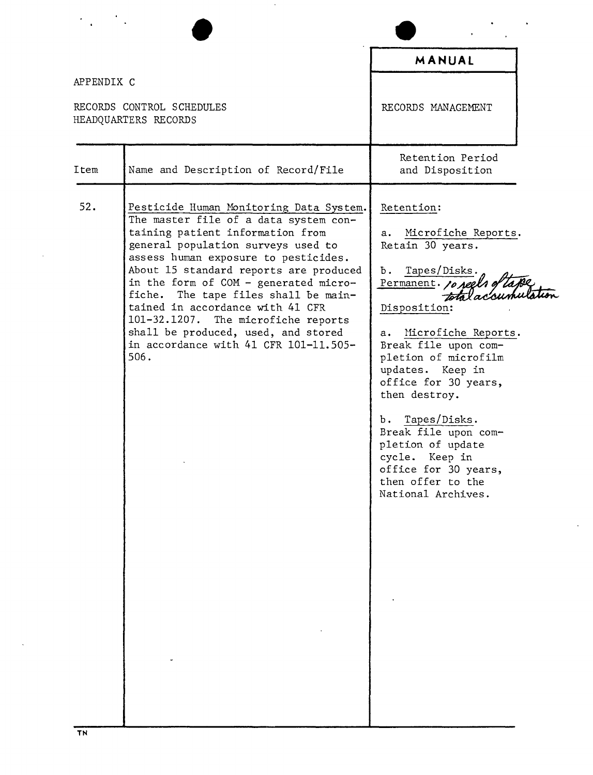|                                                                 |                                                                                                                                                                                                                                                                                                                                                                                                                                                                                                  | MANUAL                                                                                                                                                                                                                                                                                                                                                                                                                          |
|-----------------------------------------------------------------|--------------------------------------------------------------------------------------------------------------------------------------------------------------------------------------------------------------------------------------------------------------------------------------------------------------------------------------------------------------------------------------------------------------------------------------------------------------------------------------------------|---------------------------------------------------------------------------------------------------------------------------------------------------------------------------------------------------------------------------------------------------------------------------------------------------------------------------------------------------------------------------------------------------------------------------------|
| APPENDIX C<br>RECORDS CONTROL SCHEDULES<br>HEADQUARTERS RECORDS |                                                                                                                                                                                                                                                                                                                                                                                                                                                                                                  | RECORDS MANAGEMENT                                                                                                                                                                                                                                                                                                                                                                                                              |
| Item                                                            | Name and Description of Record/File                                                                                                                                                                                                                                                                                                                                                                                                                                                              | Retention Period<br>and Disposition                                                                                                                                                                                                                                                                                                                                                                                             |
| 52.                                                             | Pesticide Human Monitoring Data System.<br>The master file of a data system con-<br>taining patient information from<br>general population surveys used to<br>assess human exposure to pesticides.<br>About 15 standard reports are produced<br>in the form of COM - generated micro-<br>fiche. The tape files shall be main-<br>tained in accordance with 41 CFR<br>101-32.1207. The microfiche reports<br>shall be produced, used, and stored<br>in accordance with 41 CFR 101-11.505-<br>506. | Retention:<br>Microfiche Reports.<br>а.<br>Retain 30 years.<br>Tapes/Disks.<br>Ъ.<br>Permanent. 10 reels of tape<br>Disposition:<br>Microfiche Reports.<br>а.<br>Break file upon com-<br>pletion of microfilm<br>updates. Keep in<br>office for 30 years,<br>then destroy.<br>b. Tapes/Disks.<br>Break file upon com-<br>pletion of update<br>cycle. Keep in<br>office for 30 years,<br>then offer to the<br>National Archives. |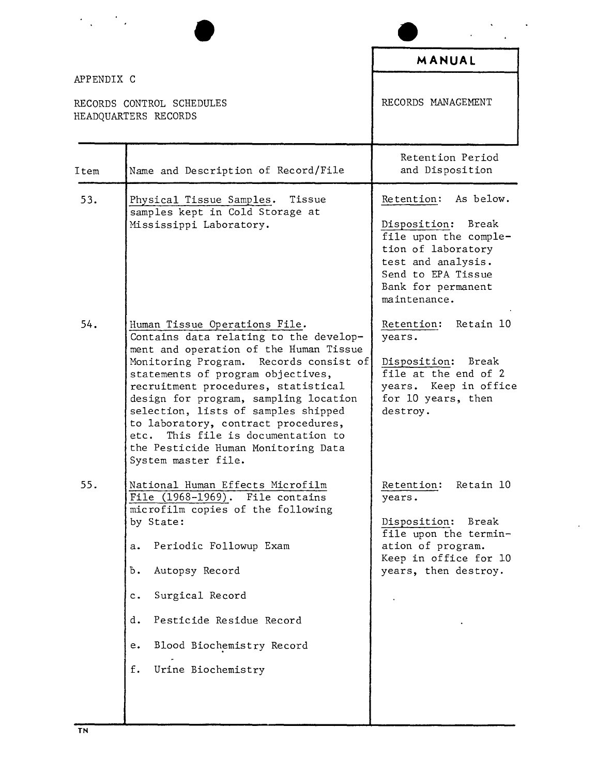| APPENDIX C                                        |                                                                                                                                                                                                                                                                                                                                                                                                                                                                       | MANUAL                                                                                                                                                                      |  |
|---------------------------------------------------|-----------------------------------------------------------------------------------------------------------------------------------------------------------------------------------------------------------------------------------------------------------------------------------------------------------------------------------------------------------------------------------------------------------------------------------------------------------------------|-----------------------------------------------------------------------------------------------------------------------------------------------------------------------------|--|
| RECORDS CONTROL SCHEDULES<br>HEADQUARTERS RECORDS |                                                                                                                                                                                                                                                                                                                                                                                                                                                                       | RECORDS MANAGEMENT                                                                                                                                                          |  |
| Item                                              | Name and Description of Record/File                                                                                                                                                                                                                                                                                                                                                                                                                                   | Retention Period<br>and Disposition                                                                                                                                         |  |
| 53.                                               | Physical Tissue Samples. Tissue<br>samples kept in Cold Storage at<br>Mississippi Laboratory.                                                                                                                                                                                                                                                                                                                                                                         | Retention: As below.<br>Disposition: Break<br>file upon the comple-<br>tion of laboratory<br>test and analysis.<br>Send to EPA Tissue<br>Bank for permanent<br>maintenance. |  |
| 54.                                               | Human Tissue Operations File.<br>Contains data relating to the develop-<br>ment and operation of the Human Tissue<br>Monitoring Program. Records consist of<br>statements of program objectives,<br>recruitment procedures, statistical<br>design for program, sampling location<br>selection, lists of samples shipped<br>to laboratory, contract procedures,<br>This file is documentation to<br>etc.<br>the Pesticide Human Monitoring Data<br>System master file. | Retention: Retain 10<br>years.<br>Disposition: Break<br>file at the end of 2<br>years. Keep in office<br>for 10 years, then<br>destroy.                                     |  |
| 55.                                               | National Human Effects Microfilm<br>File $(1968 - 1969)$ .<br>File contains<br>microfilm copies of the following<br>by State:<br>Periodic Followup Exam<br>а.<br>Autopsy Record<br>Ъ.<br>Surgical Record<br>c.<br>Pesticide Residue Record<br>d.<br>Blood Biochemistry Record<br>e.<br>Urine Biochemistry<br>f.                                                                                                                                                       | Retain 10<br>Retention:<br>years.<br>Disposition:<br>Break<br>file upon the termin-<br>ation of program.<br>Keep in office for 10<br>years, then destroy.                   |  |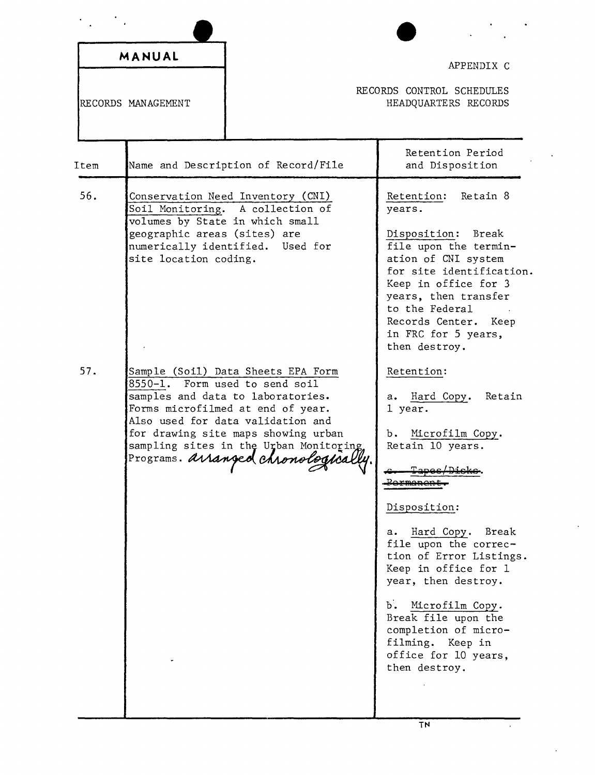| MANUAL                                                                                                                                                                                                                                                                                                        |                                                                                                                                                                                                                                                                                                                                                                                    |
|---------------------------------------------------------------------------------------------------------------------------------------------------------------------------------------------------------------------------------------------------------------------------------------------------------------|------------------------------------------------------------------------------------------------------------------------------------------------------------------------------------------------------------------------------------------------------------------------------------------------------------------------------------------------------------------------------------|
|                                                                                                                                                                                                                                                                                                               | APPENDIX C                                                                                                                                                                                                                                                                                                                                                                         |
| RECORDS MANAGEMENT                                                                                                                                                                                                                                                                                            | RECORDS CONTROL SCHEDULES<br>HEADQUARTERS RECORDS                                                                                                                                                                                                                                                                                                                                  |
| Name and Description of Record/File<br>Item                                                                                                                                                                                                                                                                   | Retention Period<br>and Disposition                                                                                                                                                                                                                                                                                                                                                |
| 56.<br>Conservation Need Inventory (CNI)<br>Soil Monitoring. A collection of<br>volumes by State in which small<br>geographic areas (sites) are<br>numerically identified. Used for<br>site location coding.                                                                                                  | Retention: Retain 8<br>years.<br>Disposition: Break<br>file upon the termin-<br>ation of CNI system<br>for site identification.<br>Keep in office for 3<br>years, then transfer<br>to the Federal<br>Records Center. Keep<br>in FRC for 5 years,<br>then destroy.                                                                                                                  |
| 57.<br>Sample (Soil) Data Sheets EPA Form<br>8550-1. Form used to send soil<br>samples and data to laboratories.<br>Forms microfilmed at end of year.<br>Also used for data validation and<br>for drawing site maps showing urban<br>sampling sites in the Urban Monitoring<br>Programs. arranged chronologic | Retention:<br>a. Hard Copy. Retain<br>1 year.<br>Microfilm Copy.<br>b. .<br>Retain 10 years.<br>ermene<br>Disposition:<br>a. Hard Copy. Break<br>file upon the correc-<br>tion of Error Listings.<br>Keep in office for 1<br>year, then destroy.<br>b. Microfilm Copy.<br>Break file upon the<br>completion of micro-<br>filming. Keep in<br>office for 10 years,<br>then destroy. |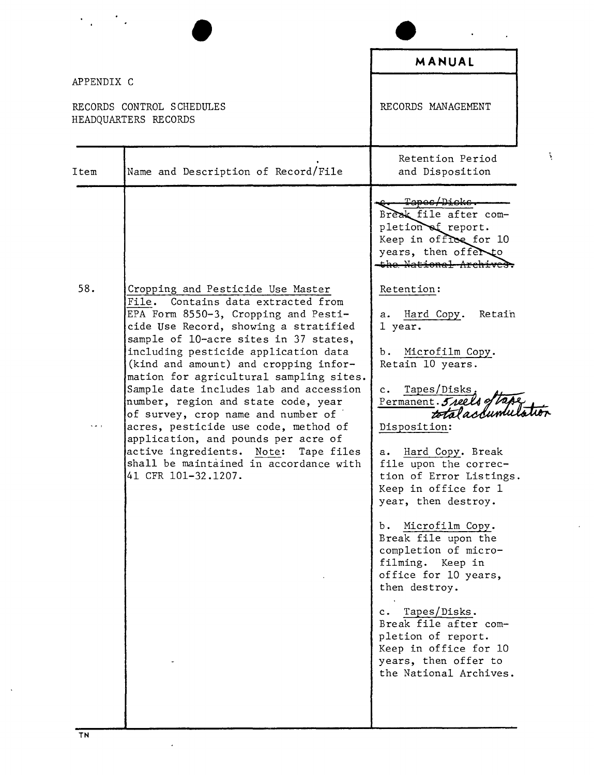|                                                                 |                                                                                                                                                                                                                                                                                                                                                                                                                                                                                                                                                                                                                                                       | MANUAL                                                                                                                                                                                                                                                                                                                                                                                                                                                                                                                                                                                                                                                                                                                                                              |
|-----------------------------------------------------------------|-------------------------------------------------------------------------------------------------------------------------------------------------------------------------------------------------------------------------------------------------------------------------------------------------------------------------------------------------------------------------------------------------------------------------------------------------------------------------------------------------------------------------------------------------------------------------------------------------------------------------------------------------------|---------------------------------------------------------------------------------------------------------------------------------------------------------------------------------------------------------------------------------------------------------------------------------------------------------------------------------------------------------------------------------------------------------------------------------------------------------------------------------------------------------------------------------------------------------------------------------------------------------------------------------------------------------------------------------------------------------------------------------------------------------------------|
| APPENDIX C<br>RECORDS CONTROL SCHEDULES<br>HEADQUARTERS RECORDS |                                                                                                                                                                                                                                                                                                                                                                                                                                                                                                                                                                                                                                                       | RECORDS MANAGEMENT                                                                                                                                                                                                                                                                                                                                                                                                                                                                                                                                                                                                                                                                                                                                                  |
| Item                                                            | Name and Description of Record/File                                                                                                                                                                                                                                                                                                                                                                                                                                                                                                                                                                                                                   | Retention Period<br>and Disposition                                                                                                                                                                                                                                                                                                                                                                                                                                                                                                                                                                                                                                                                                                                                 |
| 58.                                                             | Cropping and Pesticide Use Master<br>File.<br>Contains data extracted from<br>EPA Form 8550-3, Cropping and Pesti-<br>cide Use Record, showing a stratified<br>sample of 10-acre sites in 37 states,<br>including pesticide application data<br>(kind and amount) and cropping infor-<br>mation for agricultural sampling sites.<br>Sample date includes lab and accession<br>number, region and state code, year<br>of survey, crop name and number of<br>acres, pesticide use code, method of<br>application, and pounds per acre of<br>active ingredients.<br>Note:<br>Tape files<br>shall be maintained in accordance with<br>41 CFR 101-32.1207. | <del>Tapes/Dicks.</del><br>Break file after com-<br>pletion of report.<br>Keep in office for 10<br>years, then offer to<br>the National Archive:<br>Retention:<br>Hard Copy.<br>Retain<br>а.<br>1 year.<br>Microfilm Copy.<br>b.<br>Retain 10 years.<br>Tapes/Disks,<br>$\mathbf{c}$ .<br>Permanent. 5 reels of<br>totalaccumulation<br>Disposition:<br>Hard Copy. Break<br>а.<br>file upon the correc-<br>tion of Error Listings.<br>Keep in office for 1<br>year, then destroy.<br>Microfilm Copy.<br>b.<br>Break file upon the<br>completion of micro-<br>filming. Keep in<br>office for 10 years,<br>then destroy.<br>c. Tapes/Disks.<br>Break file after com-<br>pletion of report.<br>Keep in office for 10<br>years, then offer to<br>the National Archives. |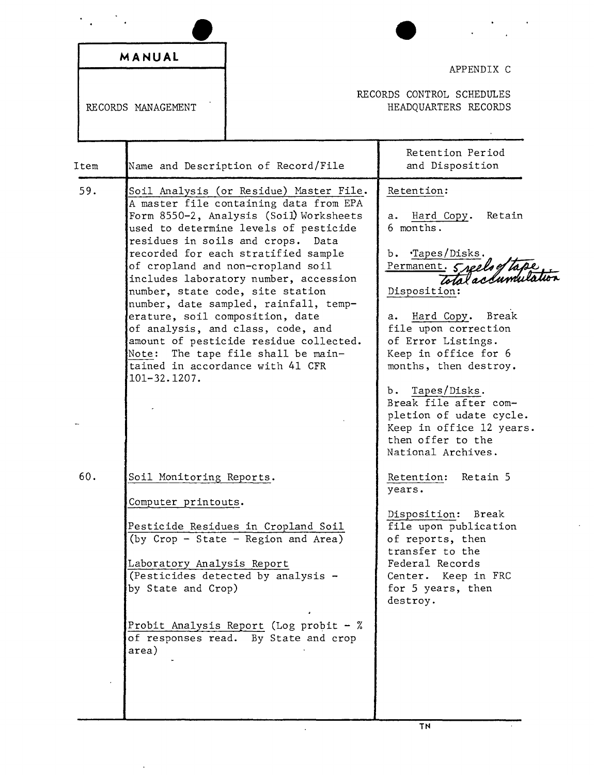| MANUAL<br>RECORDS MANAGEMENT |                                                                                                              |                                                                                                                                                                                                                                                                                                                                                                                                                                                                                                                                    | APPENDIX C<br>RECORDS CONTROL SCHEDULES<br>HEADQUARTERS RECORDS                                                                                                                                                                                                                                                                                                                                       |
|------------------------------|--------------------------------------------------------------------------------------------------------------|------------------------------------------------------------------------------------------------------------------------------------------------------------------------------------------------------------------------------------------------------------------------------------------------------------------------------------------------------------------------------------------------------------------------------------------------------------------------------------------------------------------------------------|-------------------------------------------------------------------------------------------------------------------------------------------------------------------------------------------------------------------------------------------------------------------------------------------------------------------------------------------------------------------------------------------------------|
| Item                         |                                                                                                              | Name and Description of Record/File                                                                                                                                                                                                                                                                                                                                                                                                                                                                                                | Retention Period<br>and Disposition                                                                                                                                                                                                                                                                                                                                                                   |
| 59.                          | residues in soils and crops.<br>erature, soil composition, date<br>Note:<br>$101 - 32.1207.$                 | Soil Analysis (or Residue) Master File.<br>A master file containing data from EPA<br>Form 8550-2, Analysis (Soil) Worksheets<br>used to determine levels of pesticide<br>Data<br>recorded for each stratified sample<br>of cropland and non-cropland soil<br>includes laboratory number, accession<br>number, state code, site station<br>number, date sampled, rainfall, temp-<br>of analysis, and class, code, and<br>amount of pesticide residue collected.<br>The tape file shall be main-<br>tained in accordance with 41 CFR | Retention:<br>Hard Copy.<br>Retain<br>а.<br>6 months.<br>·Tapes/Disks.<br>ъ.<br>Permanent. 5 seels of tape.<br>Disposition:<br>Hard Copy. Break<br>а.<br>file upon correction<br>of Error Listings.<br>Keep in office for 6<br>months, then destroy.<br>Tapes/Disks.<br>b.<br>Break file after com-<br>pletion of udate cycle.<br>Keep in office 12 years.<br>then offer to the<br>National Archives. |
| 60.                          | Soil Monitoring Reports.<br>Computer printouts.<br>Laboratory Analysis Report<br>by State and Crop)<br>area) | Pesticide Residues in Cropland Soil<br>(by Crop - State - Region and Area)<br>(Pesticides detected by analysis -<br>Probit Analysis Report (Log probit $-$ %<br>of responses read. By State and crop                                                                                                                                                                                                                                                                                                                               | Retention: Retain 5<br>years.<br>Disposition: Break<br>file upon publication<br>of reports, then<br>transfer to the<br>Federal Records<br>Center. Keep in FRC<br>for 5 years, then<br>destroy.                                                                                                                                                                                                        |

 $\hat{\mathbf{r}}$ 

 $\hat{\mathbf{r}}$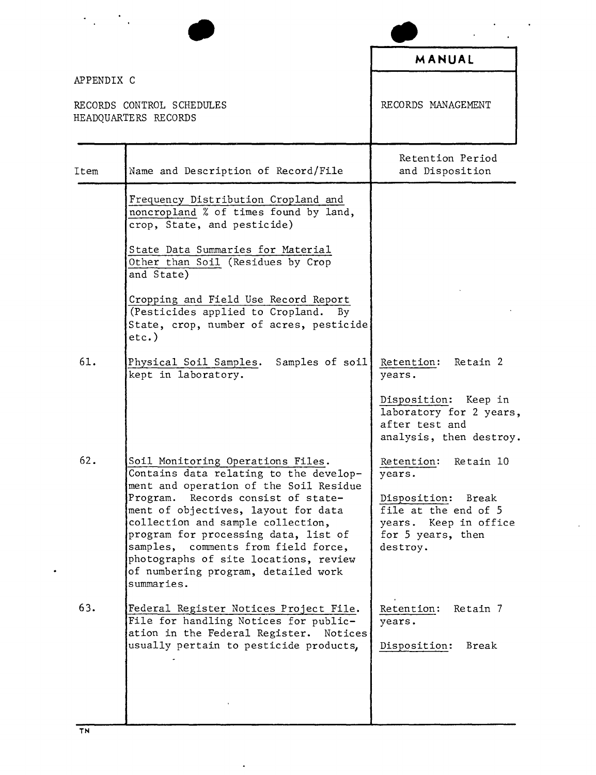|            |                                                                                                                                                                                                                                                                                                                                          | MANUAL                                                                                                  |
|------------|------------------------------------------------------------------------------------------------------------------------------------------------------------------------------------------------------------------------------------------------------------------------------------------------------------------------------------------|---------------------------------------------------------------------------------------------------------|
| APPENDIX C | RECORDS CONTROL SCHEDULES<br>HEADQUARTERS RECORDS                                                                                                                                                                                                                                                                                        | RECORDS MANAGEMENT                                                                                      |
| Item       | Name and Description of Record/File                                                                                                                                                                                                                                                                                                      | Retention Period<br>and Disposition                                                                     |
|            | Frequency Distribution Cropland and<br>noncropland % of times found by land,<br>crop, State, and pesticide)                                                                                                                                                                                                                              |                                                                                                         |
|            | State Data Summaries for Material<br>Other than Soil (Residues by Crop<br>and State)                                                                                                                                                                                                                                                     |                                                                                                         |
|            | Cropping and Field Use Record Report<br>(Pesticides applied to Cropland. By<br>State, crop, number of acres, pesticide<br>$etc.$ )                                                                                                                                                                                                       |                                                                                                         |
| 61.        | Physical Soil Samples.<br>Samples of soil<br>kept in laboratory.                                                                                                                                                                                                                                                                         | Retention: Retain 2<br>years.                                                                           |
|            |                                                                                                                                                                                                                                                                                                                                          | Disposition: Keep in<br>laboratory for 2 years,<br>after test and<br>analysis, then destroy.            |
| 62.        | Soil Monitoring Operations Files.<br>Contains data relating to the develop-                                                                                                                                                                                                                                                              | Retention:<br>Retain 10<br>years.                                                                       |
|            | ment and operation of the Soil Residue<br>Records consist of state-<br>Program.<br>ment of objectives, layout for data<br>collection and sample collection,<br>program for processing data, list of<br>samples, comments from field force,<br>photographs of site locations, review<br>of numbering program, detailed work<br>summaries. | Disposition:<br>Break<br>file at the end of 5<br>years. Keep in office<br>for 5 years, then<br>destroy. |
| 63.        | Federal Register Notices Project File.<br>File for handling Notices for public-<br>ation in the Federal Register.<br>Notices<br>usually pertain to pesticide products,                                                                                                                                                                   | Retention:<br>Retain 7<br>years.<br>Disposition:<br>Break                                               |

 $\ddot{\phantom{0}}$ 

 $\bullet$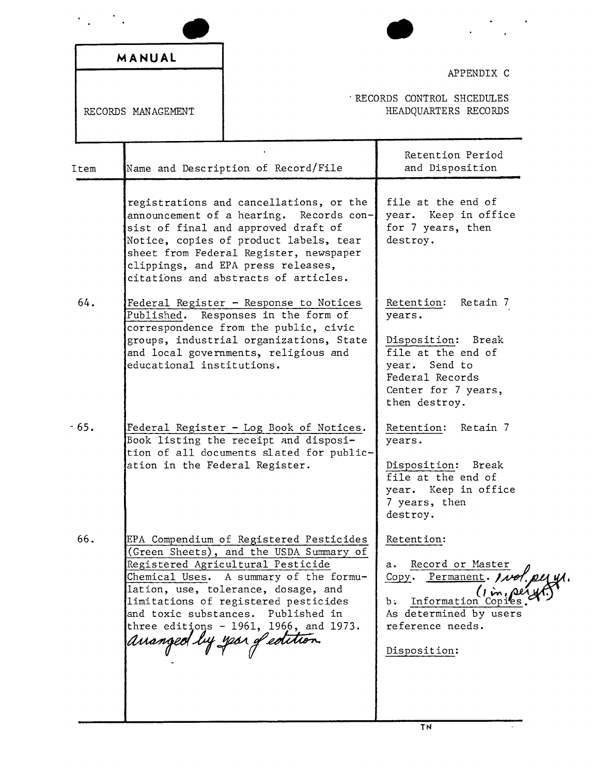|                    | MANUAL                              |                                                                                                                                                                                                                                                                                                                                    |                                                                                                                                                          |
|--------------------|-------------------------------------|------------------------------------------------------------------------------------------------------------------------------------------------------------------------------------------------------------------------------------------------------------------------------------------------------------------------------------|----------------------------------------------------------------------------------------------------------------------------------------------------------|
| RECORDS MANAGEMENT |                                     | APPENDIX C<br>RECORDS CONTROL SHCEDULES<br>HEADQUARTERS RECORDS                                                                                                                                                                                                                                                                    |                                                                                                                                                          |
| Item               |                                     | Name and Description of Record/File                                                                                                                                                                                                                                                                                                | Retention Period<br>and Disposition                                                                                                                      |
|                    |                                     | registrations and cancellations, or the<br>announcement of a hearing. Records con-<br>sist of final and approved draft of<br>Notice, copies of product labels, tear<br>sheet from Federal Register, newspaper<br>clippings, and EPA press releases,<br>citations and abstracts of articles.                                        | file at the end of<br>year. Keep in office<br>for 7 years, then<br>destroy.                                                                              |
| 64.                | educational institutions.           | Federal Register - Response to Notices<br>Published. Responses in the form of<br>correspondence from the public, civic<br>groups, industrial organizations, State<br>and local governments, religious and                                                                                                                          | Retention:<br>Retain 7<br>years.<br>Disposition: Break<br>file at the end of<br>year. Send to<br>Federal Records<br>Center for 7 years,<br>then destroy. |
| $-65.$             | ation in the Federal Register.      | Federal Register - Log Book of Notices.<br>Book listing the receipt and disposi-<br>tion of all documents slated for public-                                                                                                                                                                                                       | Retain 7<br>Retention:<br>years.<br>Disposition:<br>Break<br>file at the end of<br>year. Keep in office<br>7 years, then<br>destroy.                     |
| 66.                | ananged by year <i>of edition</i> . | EPA Compendium of Registered Pesticides<br>(Green Sheets), and the USDA Summary of<br>Registered Agricultural Pesticide<br>Chemical Uses. A summary of the formu-<br>lation, use, tolerance, dosage, and<br>limitations of registered pesticides<br>and toxic substances. Published in<br>three editions $-1961$ , 1966, and 1973. | Retention:<br>Record or Master<br>а.<br>Copy. Permanent. 1100<br>Information Copi<br>b.<br>As determined by users<br>reference needs.<br>Disposition:    |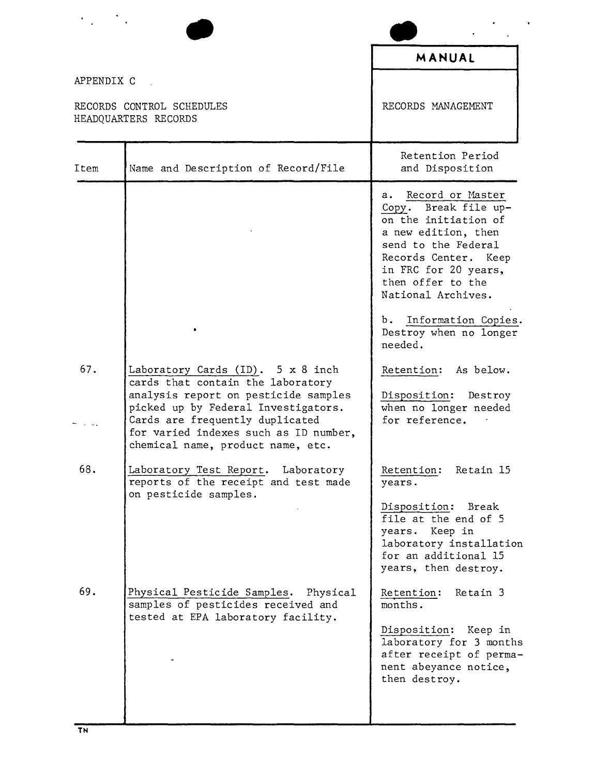|            |                                                                                                                                                                                                                                                                        | MANUAL                                                                                                                                                                                                          |
|------------|------------------------------------------------------------------------------------------------------------------------------------------------------------------------------------------------------------------------------------------------------------------------|-----------------------------------------------------------------------------------------------------------------------------------------------------------------------------------------------------------------|
| APPENDIX C |                                                                                                                                                                                                                                                                        |                                                                                                                                                                                                                 |
|            | RECORDS CONTROL SCHEDULES<br>HEADQUARTERS RECORDS                                                                                                                                                                                                                      | RECORDS MANAGEMENT                                                                                                                                                                                              |
| Item       | Name and Description of Record/File                                                                                                                                                                                                                                    | Retention Period<br>and Disposition                                                                                                                                                                             |
|            |                                                                                                                                                                                                                                                                        | a. Record or Master<br>Break file up-<br>Copy.<br>on the initiation of<br>a new edition, then<br>send to the Federal<br>Records Center. Keep<br>in FRC for 20 years,<br>then offer to the<br>National Archives. |
|            |                                                                                                                                                                                                                                                                        | b. Information Copies.<br>Destroy when no longer<br>needed.                                                                                                                                                     |
| 67.        | Laboratory Cards (ID). 5 x 8 inch<br>cards that contain the laboratory<br>analysis report on pesticide samples<br>picked up by Federal Investigators.<br>Cards are frequently duplicated<br>for varied indexes such as ID number,<br>chemical name, product name, etc. | Retention: As below.<br>Disposition: Destroy<br>when no longer needed<br>for reference.                                                                                                                         |
| 68.        | Laboratory Test Report. Laboratory<br>reports of the receipt and test made<br>on pesticide samples.                                                                                                                                                                    | Retention: Retain 15<br>years.<br>Disposition: Break<br>file at the end of 5<br>years. Keep in<br>laboratory installation<br>for an additional 15<br>years, then destroy.                                       |
| 69.        | Physical Pesticide Samples. Physical<br>samples of pesticides received and<br>tested at EPA laboratory facility.                                                                                                                                                       | Retention:<br>Retain 3<br>months.<br>Disposition: Keep in<br>laboratory for 3 months<br>after receipt of perma-<br>nent abeyance notice,<br>then destroy.                                                       |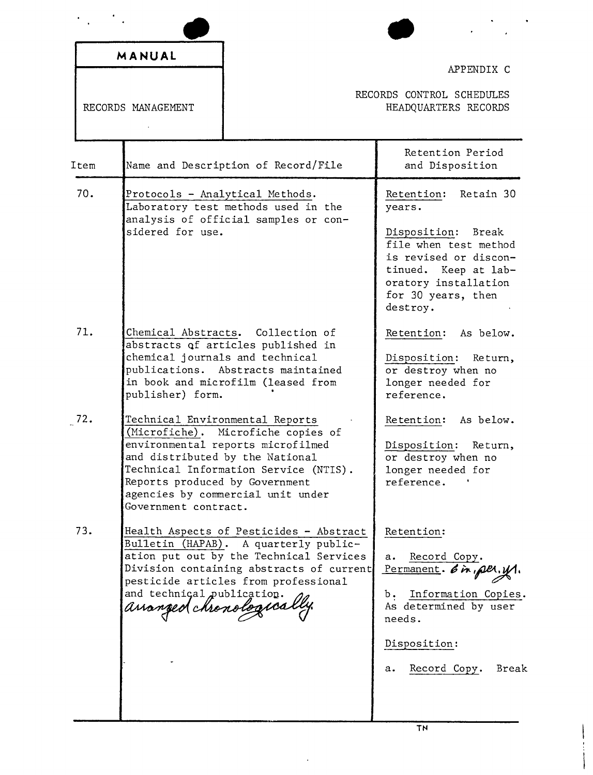|                    | MANUAL                                                                                                                       |                                                                                                                                                                                                                 | APPENDIX C                                                                                                                                                                               |
|--------------------|------------------------------------------------------------------------------------------------------------------------------|-----------------------------------------------------------------------------------------------------------------------------------------------------------------------------------------------------------------|------------------------------------------------------------------------------------------------------------------------------------------------------------------------------------------|
| RECORDS MANAGEMENT |                                                                                                                              | RECORDS CONTROL SCHEDULES<br>HEADQUARTERS RECORDS                                                                                                                                                               |                                                                                                                                                                                          |
| Item               |                                                                                                                              | Name and Description of Record/File                                                                                                                                                                             | Retention Period<br>and Disposition                                                                                                                                                      |
| 70.                | Protocols - Analytical Methods.<br>sidered for use.                                                                          | Laboratory test methods used in the<br>analysis of official samples or con-                                                                                                                                     | Retention: Retain 30<br>years.<br>Disposition: Break<br>file when test method<br>is revised or discon-<br>tinued. Keep at lab-<br>oratory installation<br>for 30 years, then<br>destroy. |
| 71.                | chemical journals and technical<br>publisher) form.                                                                          | Chemical Abstracts. Collection of<br>abstracts of articles published in<br>publications. Abstracts maintained<br>in book and microfilm (leased from                                                             | Retention: As below.<br>Disposition: Return,<br>or destroy when no<br>longer needed for<br>reference.                                                                                    |
| 72.                | Technical Environmental Reports<br>and distributed by the National<br>Reports produced by Government<br>Government contract. | (Microfiche). Microfiche copies of<br>environmental reports microfilmed<br>Technical Information Service (NTIS).<br>agencies by commercial unit under                                                           | Retention:<br>As below.<br>Disposition: Return,<br>or destroy when no<br>longer needed for<br>reference.                                                                                 |
| 73.                | and technical publication.<br>ananged chronologica                                                                           | Health Aspects of Pesticides - Abstract<br>Bulletin (HAPAB). A quarterly public-<br>ation put out by the Technical Services<br>Division containing abstracts of current<br>pesticide articles from professional | Retention:<br>Record Copy.<br>а.<br>Permanent. 6 in per. 11.<br>b. Information Copies.<br>As determined by user<br>needs.<br>Disposition:<br>Record Copy.<br>Break<br>а.                 |

 $\mathbb{R}^2$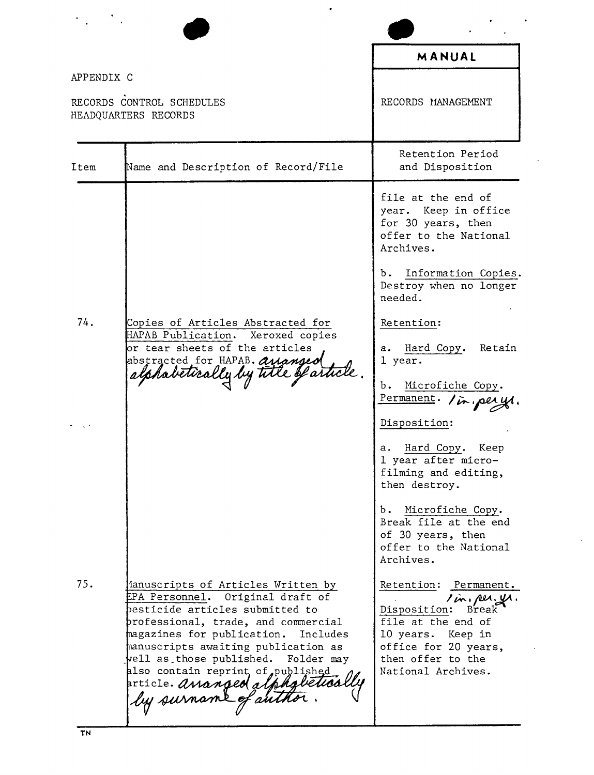|            |                                                                                                                                                                                                                                                                                                                                                                             | MANUAL                                                                                                                                                                          |
|------------|-----------------------------------------------------------------------------------------------------------------------------------------------------------------------------------------------------------------------------------------------------------------------------------------------------------------------------------------------------------------------------|---------------------------------------------------------------------------------------------------------------------------------------------------------------------------------|
| APPENDIX C |                                                                                                                                                                                                                                                                                                                                                                             |                                                                                                                                                                                 |
|            | RECORDS CONTROL SCHEDULES<br>HEADQUARTERS RECORDS                                                                                                                                                                                                                                                                                                                           | RECORDS MANAGEMENT                                                                                                                                                              |
| Item       | Name and Description of Record/File                                                                                                                                                                                                                                                                                                                                         | Retention Period<br>and Disposition                                                                                                                                             |
|            |                                                                                                                                                                                                                                                                                                                                                                             | file at the end of<br>year. Keep in office<br>for 30 years, then<br>offer to the National<br>Archives.                                                                          |
|            |                                                                                                                                                                                                                                                                                                                                                                             | Information Copies.<br>b.,<br>Destroy when no longer<br>needed.                                                                                                                 |
| 74.        | Copies of Articles Abstracted for<br>HAPAB Publication.<br>Xeroxed copies<br>or tear sheets of the articles                                                                                                                                                                                                                                                                 | Retention:<br>Retain<br>Hard Copy.<br>а.                                                                                                                                        |
|            | abstracted for HAPAB. ananged<br>alphabetically by title of article.                                                                                                                                                                                                                                                                                                        | 1 year.<br>$\mathbf{b}$ .<br>Microfiche Copy.<br>Permanent. In perys.                                                                                                           |
|            |                                                                                                                                                                                                                                                                                                                                                                             | Disposition:                                                                                                                                                                    |
|            |                                                                                                                                                                                                                                                                                                                                                                             | a. Hard Copy. Keep<br>1 year after micro-<br>filming and editing,<br>then destroy.                                                                                              |
|            |                                                                                                                                                                                                                                                                                                                                                                             | b. Microfiche Copy.<br>Break file at the end<br>of 30 years, then<br>offer to the National<br>Archives.                                                                         |
| 75.        | fanuscripts of Articles Written by<br>EPA Personnel. Original draft of<br>besticide articles submitted to<br>professional, trade, and commercial<br>magazines for publication.<br>Includes<br>manuscripts awaiting publication as<br>vell as those published.<br>Folder may<br>also contain reprint of published<br>priicle. ananged alphgletica<br>  by surname of author. | Retention: Permanent.<br>I in, per. yr.<br>Disposition:<br>Break<br>file at the end of<br>10 years.  Keep in<br>office for 20 years,<br>then offer to the<br>National Archives. |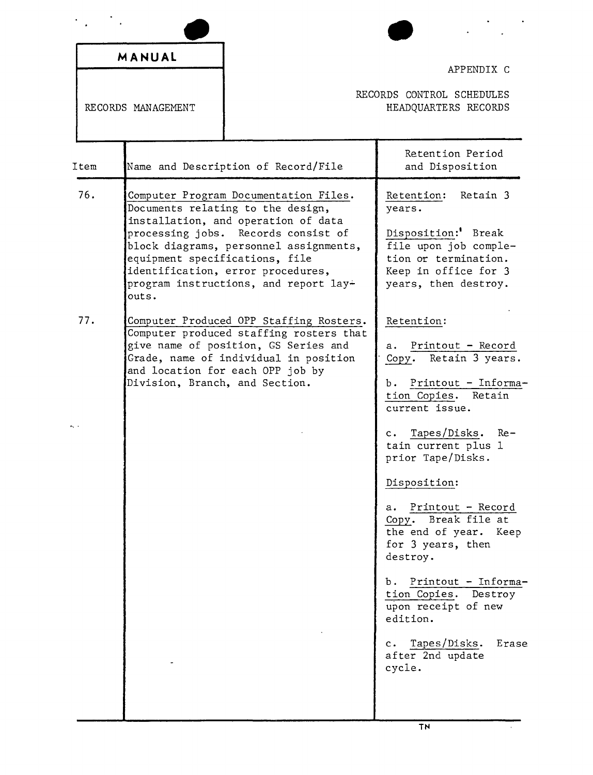|      | MANUAL                                  |                                                                                                                                                                                                                                                                                  | APPENDIX C                                                                                                                                                                                                                                                                                                                                                                                                                                                                              |
|------|-----------------------------------------|----------------------------------------------------------------------------------------------------------------------------------------------------------------------------------------------------------------------------------------------------------------------------------|-----------------------------------------------------------------------------------------------------------------------------------------------------------------------------------------------------------------------------------------------------------------------------------------------------------------------------------------------------------------------------------------------------------------------------------------------------------------------------------------|
|      | RECORDS MANAGEMENT                      |                                                                                                                                                                                                                                                                                  | RECORDS CONTROL SCHEDULES<br>HEADQUARTERS RECORDS                                                                                                                                                                                                                                                                                                                                                                                                                                       |
| Item |                                         | Name and Description of Record/File                                                                                                                                                                                                                                              | Retention Period<br>and Disposition                                                                                                                                                                                                                                                                                                                                                                                                                                                     |
| 76.  | equipment specifications, file<br>outs. | Computer Program Documentation Files.<br>Documents relating to the design,<br>installation, and operation of data<br>processing jobs. Records consist of<br>block diagrams, personnel assignments,<br>identification, error procedures,<br>program instructions, and report lay- | Retain 3<br>Retention:<br>years.<br>Disposition: Break<br>file upon job comple-<br>tion or termination.<br>Keep in office for 3<br>years, then destroy.                                                                                                                                                                                                                                                                                                                                 |
| 77.  | Division, Branch, and Section.          | Computer Produced OPP Staffing Rosters.<br>Computer produced staffing rosters that<br>give name of position, GS Series and<br>Grade, name of individual in position<br>and location for each OPP job by                                                                          | Retention:<br>Printout - Record<br>а.<br>Copy. Retain 3 years.<br>Printout - Informa-<br>b. .<br>tion Copies. Retain<br>current issue.<br>Tapes/Disks.<br>Re-<br>c.<br>tain current plus 1<br>prior Tape/Disks.<br>Disposition:<br>a. Printout - Record<br>Copy. Break file at<br>the end of year. Keep<br>for 3 years, then<br>destroy.<br>b. Printout - Informa-<br>tion Copies. Destroy<br>upon receipt of new<br>edition.<br>c. Tapes/Disks.<br>Erase<br>after 2nd update<br>cycle. |